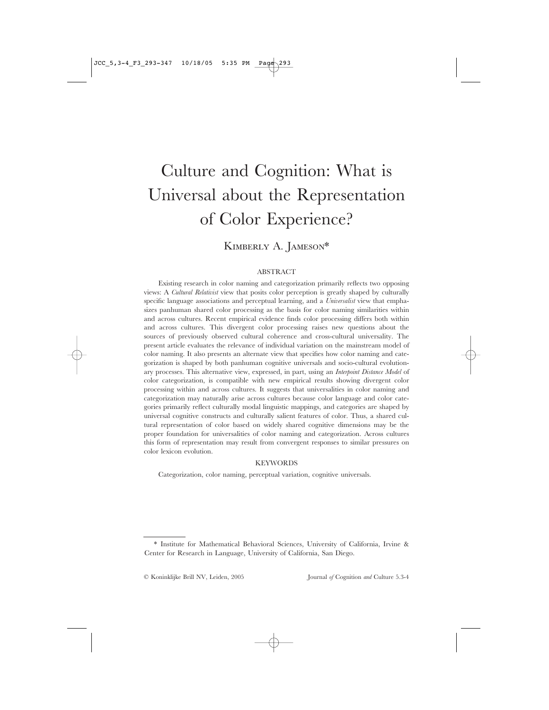# Culture and Cognition: What is Universal about the Representation of Color Experience?

# KIMBERLY A. JAMESON\*

# ABSTRACT

Existing research in color naming and categorization primarily reflects two opposing views: A *Cultural Relativist* view that posits color perception is greatly shaped by culturally specific language associations and perceptual learning, and a *Universalist* view that emphasizes panhuman shared color processing as the basis for color naming similarities within and across cultures. Recent empirical evidence finds color processing differs both within and across cultures. This divergent color processing raises new questions about the sources of previously observed cultural coherence and cross-cultural universality. The present article evaluates the relevance of individual variation on the mainstream model of color naming. It also presents an alternate view that specifies how color naming and categorization is shaped by both panhuman cognitive universals and socio-cultural evolutionary processes. This alternative view, expressed, in part, using an *Interpoint Distance Model* of color categorization, is compatible with new empirical results showing divergent color processing within and across cultures. It suggests that universalities in color naming and categorization may naturally arise across cultures because color language and color categories primarily reflect culturally modal linguistic mappings, and categories are shaped by universal cognitive constructs and culturally salient features of color. Thus, a shared cultural representation of color based on widely shared cognitive dimensions may be the proper foundation for universalities of color naming and categorization. Across cultures this form of representation may result from convergent responses to similar pressures on color lexicon evolution.

#### KEYWORDS

Categorization, color naming, perceptual variation, cognitive universals.

© Koninklijke Brill NV, Leiden, 2005 Journal *of* Cognition *and* Culture 5.3-4

<sup>\*</sup> Institute for Mathematical Behavioral Sciences, University of California, Irvine & Center for Research in Language, University of California, San Diego.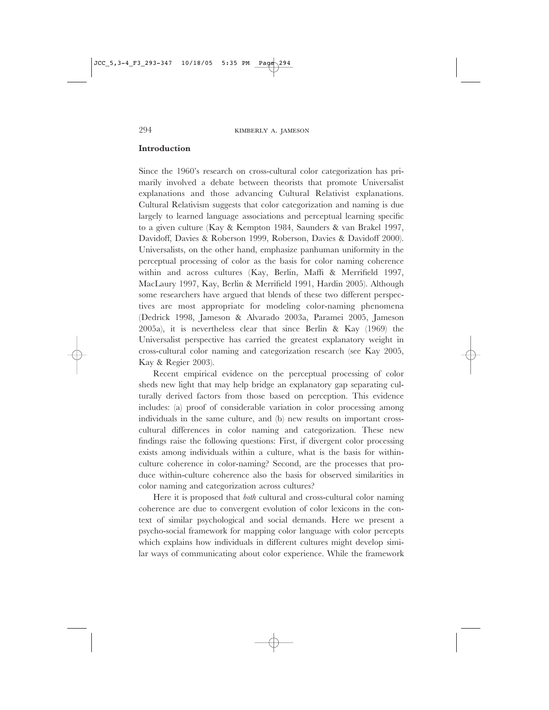#### **Introduction**

Since the 1960's research on cross-cultural color categorization has primarily involved a debate between theorists that promote Universalist explanations and those advancing Cultural Relativist explanations. Cultural Relativism suggests that color categorization and naming is due largely to learned language associations and perceptual learning specific to a given culture (Kay & Kempton 1984, Saunders & van Brakel 1997, Davidoff, Davies & Roberson 1999, Roberson, Davies & Davidoff 2000). Universalists, on the other hand, emphasize panhuman uniformity in the perceptual processing of color as the basis for color naming coherence within and across cultures (Kay, Berlin, Maffi & Merrifield 1997, MacLaury 1997, Kay, Berlin & Merrifield 1991, Hardin 2005). Although some researchers have argued that blends of these two different perspectives are most appropriate for modeling color-naming phenomena (Dedrick 1998, Jameson & Alvarado 2003a, Paramei 2005, Jameson 2005a), it is nevertheless clear that since Berlin & Kay (1969) the Universalist perspective has carried the greatest explanatory weight in cross-cultural color naming and categorization research (see Kay 2005, Kay & Regier 2003).

Recent empirical evidence on the perceptual processing of color sheds new light that may help bridge an explanatory gap separating culturally derived factors from those based on perception. This evidence includes: (a) proof of considerable variation in color processing among individuals in the same culture, and (b) new results on important crosscultural differences in color naming and categorization. These new findings raise the following questions: First, if divergent color processing exists among individuals within a culture, what is the basis for withinculture coherence in color-naming? Second, are the processes that produce within-culture coherence also the basis for observed similarities in color naming and categorization across cultures?

Here it is proposed that *both* cultural and cross-cultural color naming coherence are due to convergent evolution of color lexicons in the context of similar psychological and social demands. Here we present a psycho-social framework for mapping color language with color percepts which explains how individuals in different cultures might develop similar ways of communicating about color experience. While the framework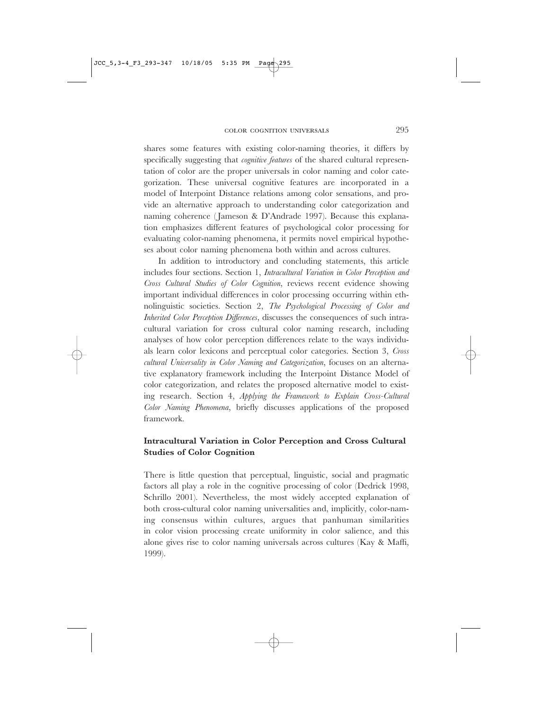shares some features with existing color-naming theories, it differs by specifically suggesting that *cognitive features* of the shared cultural representation of color are the proper universals in color naming and color categorization. These universal cognitive features are incorporated in a model of Interpoint Distance relations among color sensations, and provide an alternative approach to understanding color categorization and naming coherence (Jameson & D'Andrade 1997). Because this explanation emphasizes different features of psychological color processing for evaluating color-naming phenomena, it permits novel empirical hypotheses about color naming phenomena both within and across cultures.

In addition to introductory and concluding statements, this article includes four sections. Section 1, *Intracultural Variation in Color Perception and Cross Cultural Studies of Color Cognition*, reviews recent evidence showing important individual differences in color processing occurring within ethnolinguistic societies. Section 2, *The Psychological Processing of Color and Inherited Color Perception Differences*, discusses the consequences of such intracultural variation for cross cultural color naming research, including analyses of how color perception differences relate to the ways individuals learn color lexicons and perceptual color categories. Section 3, *Cross cultural Universality in Color Naming and Categorization*, focuses on an alternative explanatory framework including the Interpoint Distance Model of color categorization, and relates the proposed alternative model to existing research. Section 4, *Applying the Framework to Explain Cross-Cultural Color Naming Phenomena*, briefly discusses applications of the proposed framework.

# **Intracultural Variation in Color Perception and Cross Cultural Studies of Color Cognition**

There is little question that perceptual, linguistic, social and pragmatic factors all play a role in the cognitive processing of color (Dedrick 1998, Schrillo 2001). Nevertheless, the most widely accepted explanation of both cross-cultural color naming universalities and, implicitly, color-naming consensus within cultures, argues that panhuman similarities in color vision processing create uniformity in color salience, and this alone gives rise to color naming universals across cultures (Kay & Maffi, 1999).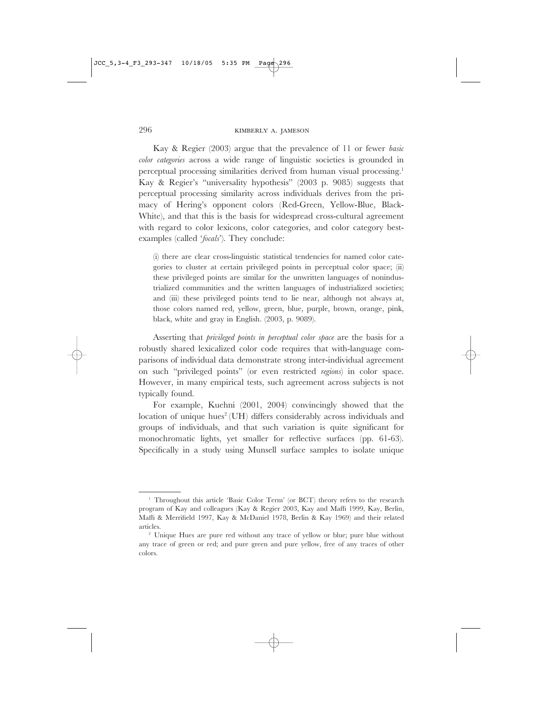Kay & Regier (2003) argue that the prevalence of 11 or fewer *basic color categories* across a wide range of linguistic societies is grounded in perceptual processing similarities derived from human visual processing.<sup>1</sup> Kay & Regier's "universality hypothesis" (2003 p. 9085) suggests that perceptual processing similarity across individuals derives from the primacy of Hering's opponent colors (Red-Green, Yellow-Blue, Black-White), and that this is the basis for widespread cross-cultural agreement with regard to color lexicons, color categories, and color category bestexamples (called '*focals*'). They conclude:

(i) there are clear cross-linguistic statistical tendencies for named color categories to cluster at certain privileged points in perceptual color space; (ii) these privileged points are similar for the unwritten languages of nonindustrialized communities and the written languages of industrialized societies; and (iii) these privileged points tend to lie near, although not always at, those colors named red, yellow, green, blue, purple, brown, orange, pink, black, white and gray in English. (2003, p. 9089).

Asserting that *privileged points in perceptual color space* are the basis for a robustly shared lexicalized color code requires that with-language comparisons of individual data demonstrate strong inter-individual agreement on such "privileged points" (or even restricted *regions*) in color space. However, in many empirical tests, such agreement across subjects is not typically found.

For example, Kuehni (2001, 2004) convincingly showed that the location of unique hues<sup>2</sup> (UH) differs considerably across individuals and groups of individuals, and that such variation is quite significant for monochromatic lights, yet smaller for reflective surfaces (pp. 61-63). Specifically in a study using Munsell surface samples to isolate unique

<sup>&</sup>lt;sup>1</sup> Throughout this article 'Basic Color Term' (or BCT) theory refers to the research program of Kay and colleagues (Kay & Regier 2003, Kay and Maffi 1999, Kay, Berlin, Maffi & Merrifield 1997, Kay & McDaniel 1978, Berlin & Kay 1969) and their related articles.

<sup>&</sup>lt;sup>2</sup> Unique Hues are pure red without any trace of yellow or blue; pure blue without any trace of green or red; and pure green and pure yellow, free of any traces of other colors.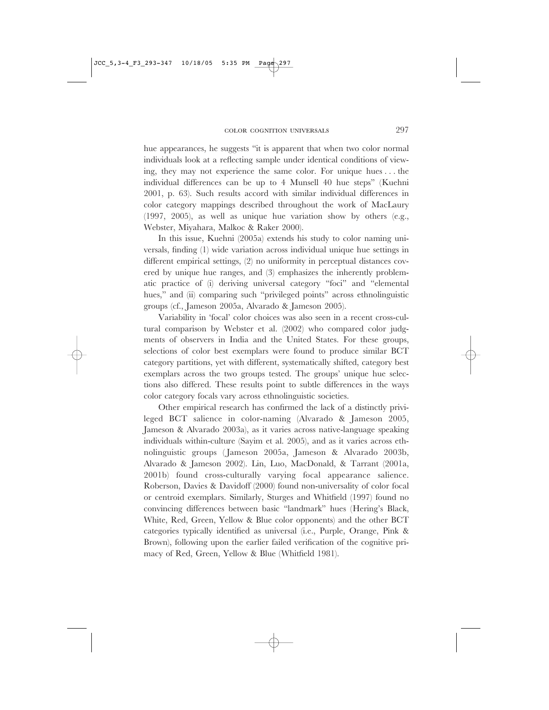hue appearances, he suggests "it is apparent that when two color normal individuals look at a reflecting sample under identical conditions of viewing, they may not experience the same color. For unique hues...the individual differences can be up to 4 Munsell 40 hue steps" (Kuehni 2001, p. 63). Such results accord with similar individual differences in color category mappings described throughout the work of MacLaury (1997, 2005), as well as unique hue variation show by others (e.g., Webster, Miyahara, Malkoc & Raker 2000).

In this issue, Kuehni (2005a) extends his study to color naming universals, finding (1) wide variation across individual unique hue settings in different empirical settings, (2) no uniformity in perceptual distances covered by unique hue ranges, and (3) emphasizes the inherently problematic practice of (i) deriving universal category "foci" and "elemental hues," and (ii) comparing such "privileged points" across ethnolinguistic groups (cf., Jameson 2005a, Alvarado & Jameson 2005).

Variability in 'focal' color choices was also seen in a recent cross-cultural comparison by Webster et al. (2002) who compared color judgments of observers in India and the United States. For these groups, selections of color best exemplars were found to produce similar BCT category partitions, yet with different, systematically shifted, category best exemplars across the two groups tested. The groups' unique hue selections also differed. These results point to subtle differences in the ways color category focals vary across ethnolinguistic societies.

Other empirical research has confirmed the lack of a distinctly privileged BCT salience in color-naming (Alvarado & Jameson 2005, Jameson & Alvarado 2003a), as it varies across native-language speaking individuals within-culture (Sayim et al. 2005), and as it varies across ethnolinguistic groups ( Jameson 2005a, Jameson & Alvarado 2003b, Alvarado & Jameson 2002). Lin, Luo, MacDonald, & Tarrant (2001a, 2001b) found cross-culturally varying focal appearance salience. Roberson, Davies & Davidoff (2000) found non-universality of color focal or centroid exemplars. Similarly, Sturges and Whitfield (1997) found no convincing differences between basic "landmark" hues (Hering's Black, White, Red, Green, Yellow & Blue color opponents) and the other BCT categories typically identified as universal (i.e., Purple, Orange, Pink & Brown), following upon the earlier failed verification of the cognitive primacy of Red, Green, Yellow & Blue (Whitfield 1981).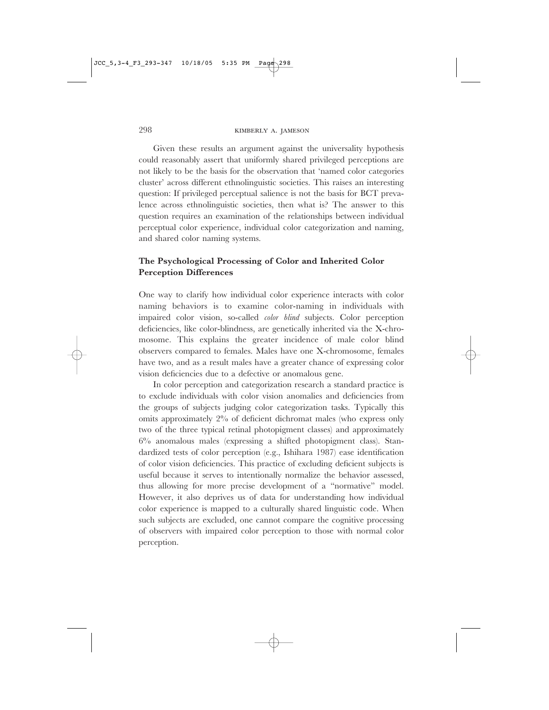Given these results an argument against the universality hypothesis could reasonably assert that uniformly shared privileged perceptions are not likely to be the basis for the observation that 'named color categories cluster' across different ethnolinguistic societies. This raises an interesting question: If privileged perceptual salience is not the basis for BCT prevalence across ethnolinguistic societies, then what is? The answer to this question requires an examination of the relationships between individual perceptual color experience, individual color categorization and naming, and shared color naming systems.

# **The Psychological Processing of Color and Inherited Color Perception Differences**

One way to clarify how individual color experience interacts with color naming behaviors is to examine color-naming in individuals with impaired color vision, so-called *color blind* subjects. Color perception deficiencies, like color-blindness, are genetically inherited via the X-chromosome. This explains the greater incidence of male color blind observers compared to females. Males have one X-chromosome, females have two, and as a result males have a greater chance of expressing color vision deficiencies due to a defective or anomalous gene.

In color perception and categorization research a standard practice is to exclude individuals with color vision anomalies and deficiencies from the groups of subjects judging color categorization tasks. Typically this omits approximately 2% of deficient dichromat males (who express only two of the three typical retinal photopigment classes) and approximately 6% anomalous males (expressing a shifted photopigment class). Standardized tests of color perception (e.g., Ishihara 1987) ease identification of color vision deficiencies. This practice of excluding deficient subjects is useful because it serves to intentionally normalize the behavior assessed, thus allowing for more precise development of a "normative" model. However, it also deprives us of data for understanding how individual color experience is mapped to a culturally shared linguistic code. When such subjects are excluded, one cannot compare the cognitive processing of observers with impaired color perception to those with normal color perception.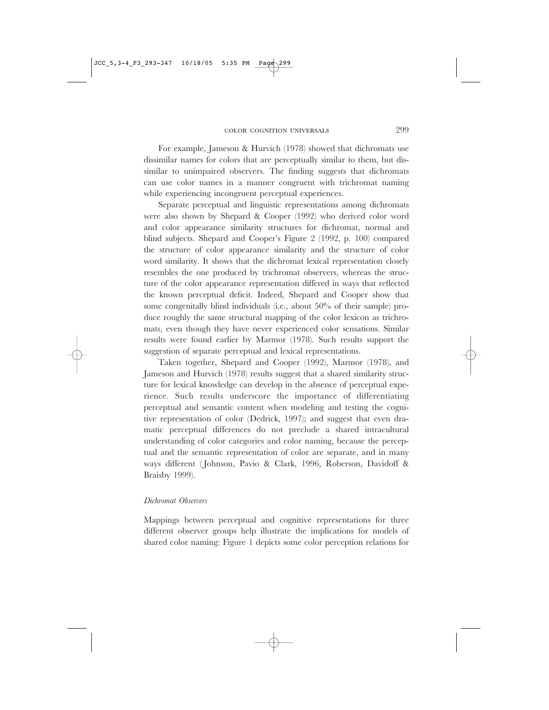For example, Jameson & Hurvich (1978) showed that dichromats use dissimilar names for colors that are perceptually similar to them, but dissimilar to unimpaired observers. The finding suggests that dichromats can use color names in a manner congruent with trichromat naming while experiencing incongruent perceptual experiences.

Separate perceptual and linguistic representations among dichromats were also shown by Shepard & Cooper (1992) who derived color word and color appearance similarity structures for dichromat, normal and blind subjects. Shepard and Cooper's Figure 2 (1992, p. 100) compared the structure of color appearance similarity and the structure of color word similarity. It shows that the dichromat lexical representation closely resembles the one produced by trichromat observers, whereas the structure of the color appearance representation differed in ways that reflected the known perceptual deficit. Indeed, Shepard and Cooper show that some congenitally blind individuals (i.e., about 50% of their sample) produce roughly the same structural mapping of the color lexicon as trichromats, even though they have never experienced color sensations. Similar results were found earlier by Marmor (1978). Such results support the suggestion of separate perceptual and lexical representations.

Taken together, Shepard and Cooper (1992), Marmor (1978), and Jameson and Hurvich (1978) results suggest that a shared similarity structure for lexical knowledge can develop in the absence of perceptual experience. Such results underscore the importance of differentiating perceptual and semantic content when modeling and testing the cognitive representation of color (Dedrick, 1997); and suggest that even dramatic perceptual differences do not preclude a shared intracultural understanding of color categories and color naming, because the perceptual and the semantic representation of color are separate, and in many ways different (Johnson, Pavio & Clark, 1996, Roberson, Davidoff & Braisby 1999).

#### *Dichromat Observers*

Mappings between perceptual and cognitive representations for three different observer groups help illustrate the implications for models of shared color naming: Figure 1 depicts some color perception relations for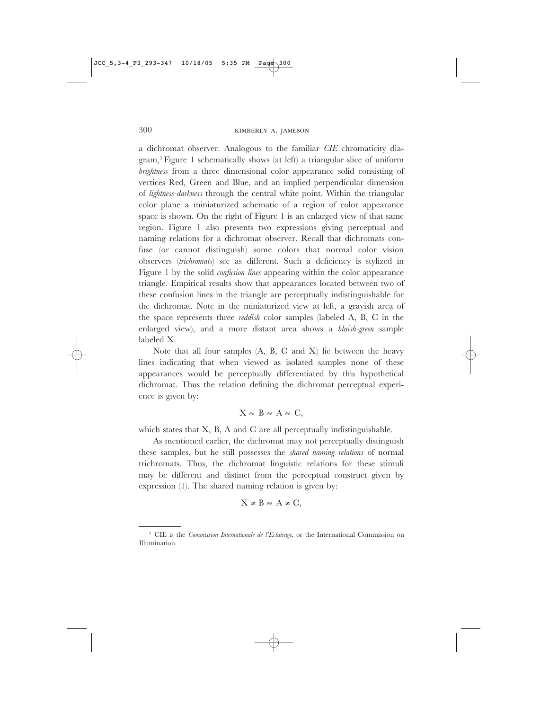a dichromat observer. Analogous to the familiar *CIE* chromaticity diagram,3 Figure 1 schematically shows (at left) a triangular slice of uniform *brightness* from a three dimensional color appearance solid consisting of vertices Red, Green and Blue, and an implied perpendicular dimension of *lightness-darkness* through the central white point. Within the triangular color plane a miniaturized schematic of a region of color appearance space is shown. On the right of Figure 1 is an enlarged view of that same region. Figure 1 also presents two expressions giving perceptual and naming relations for a dichromat observer. Recall that dichromats confuse (or cannot distinguish) some colors that normal color vision observers (*trichromats*) see as different. Such a deficiency is stylized in Figure 1 by the solid *confusion lines* appearing within the color appearance triangle. Empirical results show that appearances located between two of these confusion lines in the triangle are perceptually indistinguishable for the dichromat. Note in the miniaturized view at left, a grayish area of the space represents three *reddish* color samples (labeled A, B, C in the enlarged view), and a more distant area shows a *bluish-green* sample labeled X.

Note that all four samples (A, B, C and X) lie between the heavy lines indicating that when viewed as isolated samples none of these appearances would be perceptually differentiated by this hypothetical dichromat. Thus the relation defining the dichromat perceptual experience is given by:

# $X \approx B \approx A \approx C$ ,

which states that X, B, A and C are all perceptually indistinguishable.

As mentioned earlier, the dichromat may not perceptually distinguish these samples, but he still possesses the *shared naming relations* of normal trichromats. Thus, the dichromat linguistic relations for these stimuli may be different and distinct from the perceptual construct given by expression (1). The shared naming relation is given by:

 $X \neq B \approx A \neq C$ ,

<sup>3</sup> CIE is the *Commission Internationale de l'Eclairage*, or the International Commission on Illumination.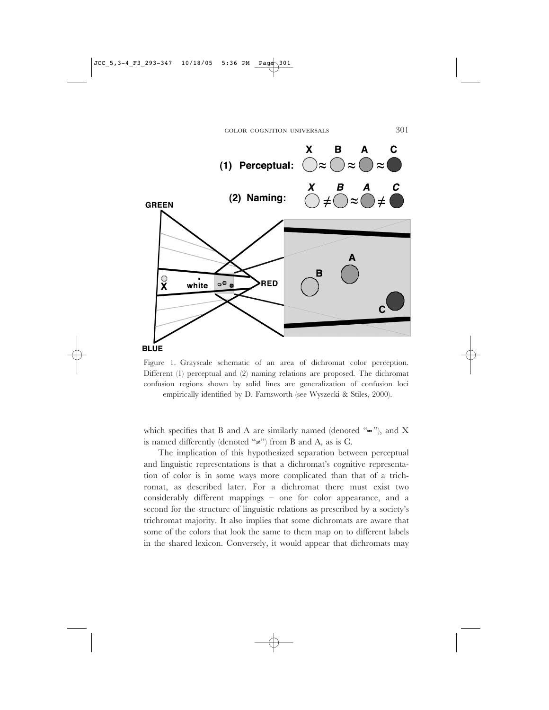

Figure 1. Grayscale schematic of an area of dichromat color perception. Different (1) perceptual and (2) naming relations are proposed. The dichromat confusion regions shown by solid lines are generalization of confusion loci empirically identified by D. Farnsworth (see Wyszecki & Stiles, 2000).

which specifies that B and A are similarly named (denoted " $\approx$ "), and X is named differently (denoted " $\neq$ ") from B and A, as is C.

The implication of this hypothesized separation between perceptual and linguistic representations is that a dichromat's cognitive representation of color is in some ways more complicated than that of a trichromat, as described later. For a dichromat there must exist two considerably different mappings – one for color appearance, and a second for the structure of linguistic relations as prescribed by a society's trichromat majority. It also implies that some dichromats are aware that some of the colors that look the same to them map on to different labels in the shared lexicon. Conversely, it would appear that dichromats may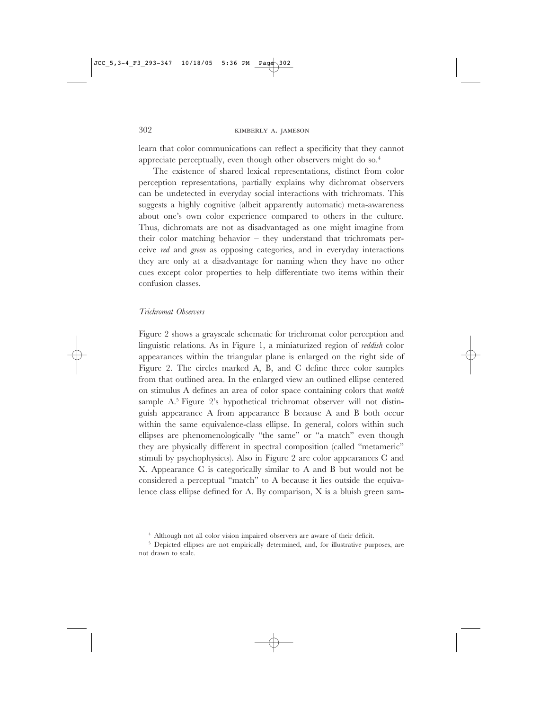learn that color communications can reflect a specificity that they cannot appreciate perceptually, even though other observers might do so.<sup>4</sup>

The existence of shared lexical representations, distinct from color perception representations, partially explains why dichromat observers can be undetected in everyday social interactions with trichromats. This suggests a highly cognitive (albeit apparently automatic) meta-awareness about one's own color experience compared to others in the culture. Thus, dichromats are not as disadvantaged as one might imagine from their color matching behavior – they understand that trichromats perceive *red* and *green* as opposing categories, and in everyday interactions they are only at a disadvantage for naming when they have no other cues except color properties to help differentiate two items within their confusion classes.

#### *Trichromat Observers*

Figure 2 shows a grayscale schematic for trichromat color perception and linguistic relations. As in Figure 1, a miniaturized region of *reddish* color appearances within the triangular plane is enlarged on the right side of Figure 2. The circles marked A, B, and C define three color samples from that outlined area. In the enlarged view an outlined ellipse centered on stimulus A defines an area of color space containing colors that *match* sample A.5 Figure 2's hypothetical trichromat observer will not distinguish appearance A from appearance B because A and B both occur within the same equivalence-class ellipse. In general, colors within such ellipses are phenomenologically "the same" or "a match" even though they are physically different in spectral composition (called "metameric" stimuli by psychophysicts). Also in Figure 2 are color appearances C and X. Appearance C is categorically similar to A and B but would not be considered a perceptual "match" to A because it lies outside the equivalence class ellipse defined for A. By comparison, X is a bluish green sam-

<sup>4</sup> Although not all color vision impaired observers are aware of their deficit.

<sup>&</sup>lt;sup>5</sup> Depicted ellipses are not empirically determined, and, for illustrative purposes, are not drawn to scale.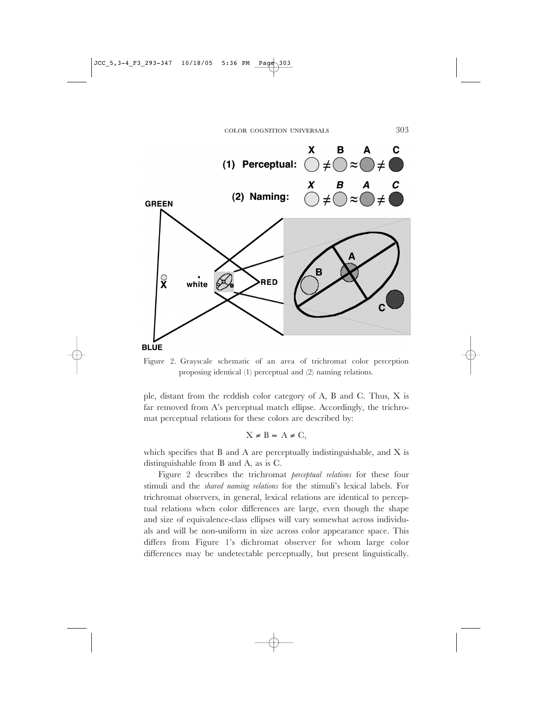

Figure 2. Grayscale schematic of an area of trichromat color perception proposing identical (1) perceptual and (2) naming relations.

ple, distant from the reddish color category of A, B and C. Thus, X is far removed from A's perceptual match ellipse. Accordingly, the trichromat perceptual relations for these colors are described by:

$$
X \neq B \approx A \neq C,
$$

which specifies that B and A are perceptually indistinguishable, and X is distinguishable from B and A, as is C.

Figure 2 describes the trichromat *perceptual relations* for these four stimuli and the *shared naming relations* for the stimuli's lexical labels. For trichromat observers, in general, lexical relations are identical to perceptual relations when color differences are large, even though the shape and size of equivalence-class ellipses will vary somewhat across individuals and will be non-uniform in size across color appearance space. This differs from Figure 1's dichromat observer for whom large color differences may be undetectable perceptually, but present linguistically.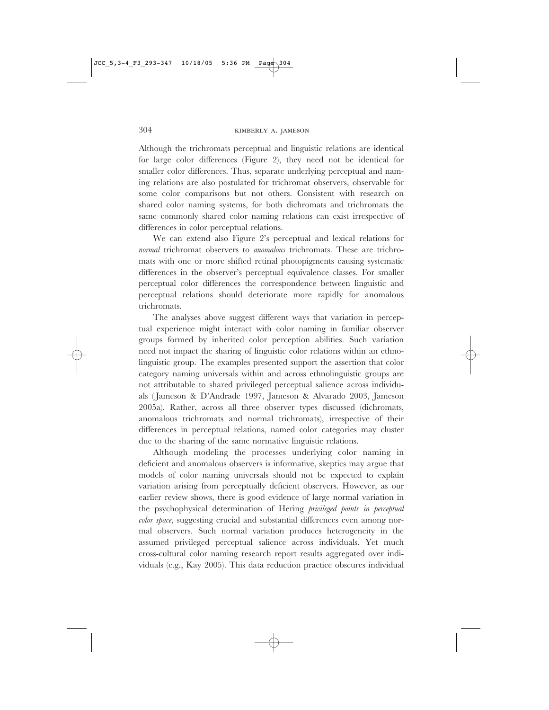Although the trichromats perceptual and linguistic relations are identical for large color differences (Figure 2), they need not be identical for smaller color differences. Thus, separate underlying perceptual and naming relations are also postulated for trichromat observers, observable for some color comparisons but not others. Consistent with research on shared color naming systems, for both dichromats and trichromats the same commonly shared color naming relations can exist irrespective of differences in color perceptual relations.

We can extend also Figure 2's perceptual and lexical relations for *normal* trichromat observers to *anomalous* trichromats. These are trichromats with one or more shifted retinal photopigments causing systematic differences in the observer's perceptual equivalence classes. For smaller perceptual color differences the correspondence between linguistic and perceptual relations should deteriorate more rapidly for anomalous trichromats.

The analyses above suggest different ways that variation in perceptual experience might interact with color naming in familiar observer groups formed by inherited color perception abilities. Such variation need not impact the sharing of linguistic color relations within an ethnolinguistic group. The examples presented support the assertion that color category naming universals within and across ethnolinguistic groups are not attributable to shared privileged perceptual salience across individuals ( Jameson & D'Andrade 1997, Jameson & Alvarado 2003, Jameson 2005a). Rather, across all three observer types discussed (dichromats, anomalous trichromats and normal trichromats), irrespective of their differences in perceptual relations, named color categories may cluster due to the sharing of the same normative linguistic relations.

Although modeling the processes underlying color naming in deficient and anomalous observers is informative, skeptics may argue that models of color naming universals should not be expected to explain variation arising from perceptually deficient observers. However, as our earlier review shows, there is good evidence of large normal variation in the psychophysical determination of Hering *privileged points in perceptual color space*, suggesting crucial and substantial differences even among normal observers. Such normal variation produces heterogeneity in the assumed privileged perceptual salience across individuals. Yet much cross-cultural color naming research report results aggregated over individuals (e.g., Kay 2005). This data reduction practice obscures individual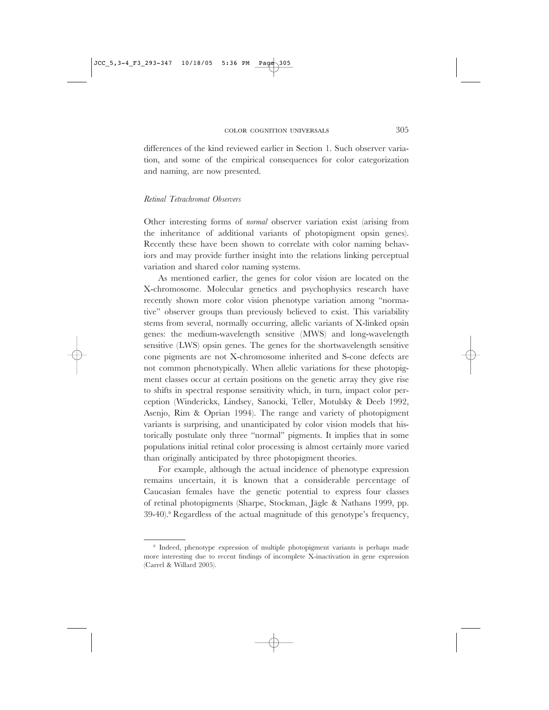differences of the kind reviewed earlier in Section 1. Such observer variation, and some of the empirical consequences for color categorization and naming, are now presented.

#### *Retinal Tetrachromat Observers*

Other interesting forms of *normal* observer variation exist (arising from the inheritance of additional variants of photopigment opsin genes). Recently these have been shown to correlate with color naming behaviors and may provide further insight into the relations linking perceptual variation and shared color naming systems.

As mentioned earlier, the genes for color vision are located on the X-chromosome. Molecular genetics and psychophysics research have recently shown more color vision phenotype variation among "normative" observer groups than previously believed to exist. This variability stems from several, normally occurring, allelic variants of X-linked opsin genes: the medium-wavelength sensitive (MWS) and long-wavelength sensitive (LWS) opsin genes. The genes for the shortwavelength sensitive cone pigments are not X-chromosome inherited and S-cone defects are not common phenotypically. When allelic variations for these photopigment classes occur at certain positions on the genetic array they give rise to shifts in spectral response sensitivity which, in turn, impact color perception (Winderickx, Lindsey, Sanocki, Teller, Motulsky & Deeb 1992, Asenjo, Rim & Oprian 1994). The range and variety of photopigment variants is surprising, and unanticipated by color vision models that historically postulate only three "normal" pigments. It implies that in some populations initial retinal color processing is almost certainly more varied than originally anticipated by three photopigment theories.

For example, although the actual incidence of phenotype expression remains uncertain, it is known that a considerable percentage of Caucasian females have the genetic potential to express four classes of retinal photopigments (Sharpe, Stockman, Jägle & Nathans 1999, pp.  $39-40$ <sup>6</sup>. Regardless of the actual magnitude of this genotype's frequency,

<sup>&</sup>lt;sup>6</sup> Indeed, phenotype expression of multiple photopigment variants is perhaps made more interesting due to recent findings of incomplete X-inactivation in gene expression (Carrel & Willard 2005).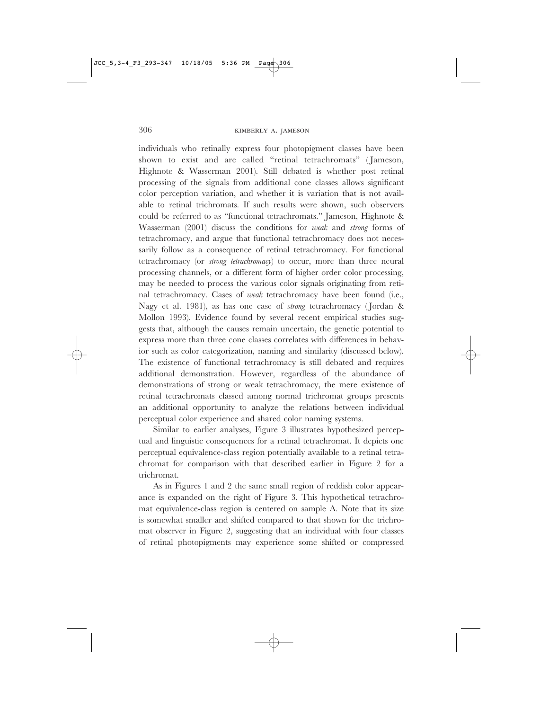individuals who retinally express four photopigment classes have been shown to exist and are called "retinal tetrachromats" ( Jameson, Highnote & Wasserman 2001). Still debated is whether post retinal processing of the signals from additional cone classes allows significant color perception variation, and whether it is variation that is not available to retinal trichromats. If such results were shown, such observers could be referred to as "functional tetrachromats." Jameson, Highnote & Wasserman (2001) discuss the conditions for *weak* and *strong* forms of tetrachromacy, and argue that functional tetrachromacy does not necessarily follow as a consequence of retinal tetrachromacy. For functional tetrachromacy (or *strong tetrachromacy*) to occur, more than three neural processing channels, or a different form of higher order color processing, may be needed to process the various color signals originating from retinal tetrachromacy. Cases of *weak* tetrachromacy have been found (i.e., Nagy et al. 1981), as has one case of *strong* tetrachromacy ( Jordan & Mollon 1993). Evidence found by several recent empirical studies suggests that, although the causes remain uncertain, the genetic potential to express more than three cone classes correlates with differences in behavior such as color categorization, naming and similarity (discussed below). The existence of functional tetrachromacy is still debated and requires additional demonstration. However, regardless of the abundance of demonstrations of strong or weak tetrachromacy, the mere existence of retinal tetrachromats classed among normal trichromat groups presents an additional opportunity to analyze the relations between individual perceptual color experience and shared color naming systems.

Similar to earlier analyses, Figure 3 illustrates hypothesized perceptual and linguistic consequences for a retinal tetrachromat. It depicts one perceptual equivalence-class region potentially available to a retinal tetrachromat for comparison with that described earlier in Figure 2 for a trichromat.

As in Figures 1 and 2 the same small region of reddish color appearance is expanded on the right of Figure 3. This hypothetical tetrachromat equivalence-class region is centered on sample A. Note that its size is somewhat smaller and shifted compared to that shown for the trichromat observer in Figure 2, suggesting that an individual with four classes of retinal photopigments may experience some shifted or compressed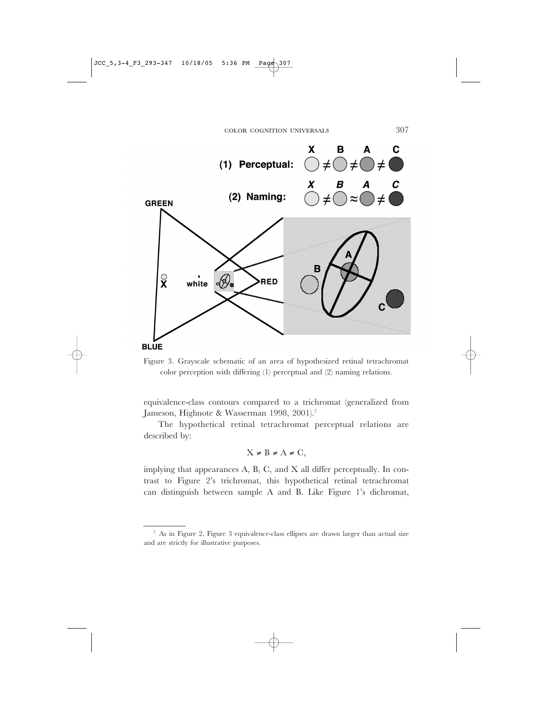



equivalence-class contours compared to a trichromat (generalized from Jameson, Highnote & Wasserman 1998, 2001).<sup>7</sup>

The hypothetical retinal tetrachromat perceptual relations are described by:

 $X \neq B \neq A \neq C$ ,

implying that appearances A, B, C, and X all differ perceptually. In contrast to Figure 2's trichromat, this hypothetical retinal tetrachromat can distinguish between sample A and B. Like Figure 1's dichromat,

<sup>7</sup> As in Figure 2, Figure 3 equivalence-class ellipses are drawn larger than actual size and are strictly for illustrative purposes.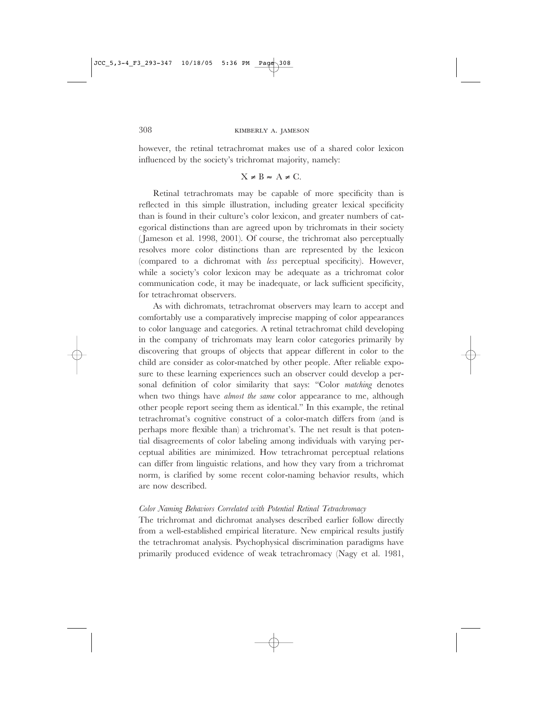however, the retinal tetrachromat makes use of a shared color lexicon influenced by the society's trichromat majority, namely:

# $X \neq B \approx A \neq C.$

Retinal tetrachromats may be capable of more specificity than is reflected in this simple illustration, including greater lexical specificity than is found in their culture's color lexicon, and greater numbers of categorical distinctions than are agreed upon by trichromats in their society ( Jameson et al. 1998, 2001). Of course, the trichromat also perceptually resolves more color distinctions than are represented by the lexicon (compared to a dichromat with *less* perceptual specificity). However, while a society's color lexicon may be adequate as a trichromat color communication code, it may be inadequate, or lack sufficient specificity, for tetrachromat observers.

As with dichromats, tetrachromat observers may learn to accept and comfortably use a comparatively imprecise mapping of color appearances to color language and categories. A retinal tetrachromat child developing in the company of trichromats may learn color categories primarily by discovering that groups of objects that appear different in color to the child are consider as color-matched by other people. After reliable exposure to these learning experiences such an observer could develop a personal definition of color similarity that says: "Color *matching* denotes when two things have *almost the same* color appearance to me, although other people report seeing them as identical." In this example, the retinal tetrachromat's cognitive construct of a color-match differs from (and is perhaps more flexible than) a trichromat's. The net result is that potential disagreements of color labeling among individuals with varying perceptual abilities are minimized. How tetrachromat perceptual relations can differ from linguistic relations, and how they vary from a trichromat norm, is clarified by some recent color-naming behavior results, which are now described.

#### *Color Naming Behaviors Correlated with Potential Retinal Tetrachromacy*

The trichromat and dichromat analyses described earlier follow directly from a well-established empirical literature. New empirical results justify the tetrachromat analysis. Psychophysical discrimination paradigms have primarily produced evidence of weak tetrachromacy (Nagy et al. 1981,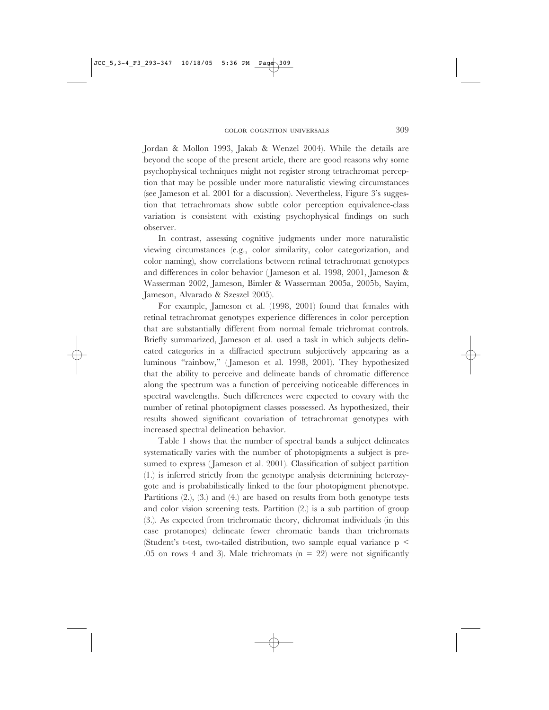Jordan & Mollon 1993, Jakab & Wenzel 2004). While the details are beyond the scope of the present article, there are good reasons why some psychophysical techniques might not register strong tetrachromat perception that may be possible under more naturalistic viewing circumstances (see Jameson et al. 2001 for a discussion). Nevertheless, Figure 3's suggestion that tetrachromats show subtle color perception equivalence-class variation is consistent with existing psychophysical findings on such observer.

In contrast, assessing cognitive judgments under more naturalistic viewing circumstances (e.g., color similarity, color categorization, and color naming), show correlations between retinal tetrachromat genotypes and differences in color behavior ( Jameson et al. 1998, 2001, Jameson & Wasserman 2002, Jameson, Bimler & Wasserman 2005a, 2005b, Sayim, Jameson, Alvarado & Szeszel 2005).

For example, Jameson et al. (1998, 2001) found that females with retinal tetrachromat genotypes experience differences in color perception that are substantially different from normal female trichromat controls. Briefly summarized, Jameson et al. used a task in which subjects delineated categories in a diffracted spectrum subjectively appearing as a luminous "rainbow," (Jameson et al. 1998, 2001). They hypothesized that the ability to perceive and delineate bands of chromatic difference along the spectrum was a function of perceiving noticeable differences in spectral wavelengths. Such differences were expected to covary with the number of retinal photopigment classes possessed. As hypothesized, their results showed significant covariation of tetrachromat genotypes with increased spectral delineation behavior.

Table 1 shows that the number of spectral bands a subject delineates systematically varies with the number of photopigments a subject is presumed to express (Jameson et al. 2001). Classification of subject partition (1.) is inferred strictly from the genotype analysis determining heterozygote and is probabilistically linked to the four photopigment phenotype. Partitions  $(2)$ ,  $(3)$ , and  $(4)$  are based on results from both genotype tests and color vision screening tests. Partition (2.) is a sub partition of group (3.). As expected from trichromatic theory, dichromat individuals (in this case protanopes) delineate fewer chromatic bands than trichromats (Student's t-test, two-tailed distribution, two sample equal variance p < .05 on rows 4 and 3). Male trichromats ( $n = 22$ ) were not significantly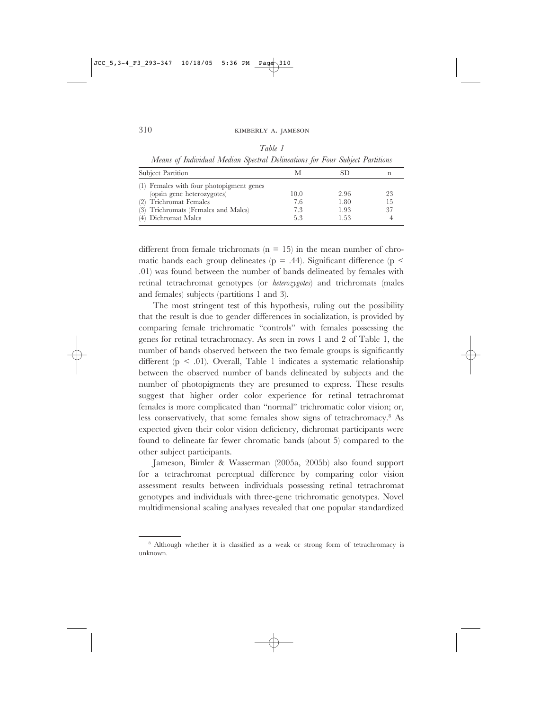*Table 1 Means of Individual Median Spectral Delineations for Four Subject Partitions*

| <b>Subject Partition</b>                                                                                                                                       |                          | SD                           |                |
|----------------------------------------------------------------------------------------------------------------------------------------------------------------|--------------------------|------------------------------|----------------|
| (1) Females with four photopigment genes<br>(opsin gene heterozygotes)<br>(2) Trichromat Females<br>(3) Trichromats (Females and Males)<br>(4) Dichromat Males | 10.0<br>7.6<br>7.3<br>53 | 2.96<br>1.80<br>1.93<br>1.53 | 23<br>Тh<br>37 |

different from female trichromats  $(n = 15)$  in the mean number of chromatic bands each group delineates ( $p = .44$ ). Significant difference ( $p <$ .01) was found between the number of bands delineated by females with retinal tetrachromat genotypes (or *heterozygotes*) and trichromats (males and females) subjects (partitions 1 and 3).

The most stringent test of this hypothesis, ruling out the possibility that the result is due to gender differences in socialization, is provided by comparing female trichromatic "controls" with females possessing the genes for retinal tetrachromacy. As seen in rows 1 and 2 of Table 1, the number of bands observed between the two female groups is significantly different (p < .01). Overall, Table 1 indicates a systematic relationship between the observed number of bands delineated by subjects and the number of photopigments they are presumed to express. These results suggest that higher order color experience for retinal tetrachromat females is more complicated than "normal" trichromatic color vision; or, less conservatively, that some females show signs of tetrachromacy.8 As expected given their color vision deficiency, dichromat participants were found to delineate far fewer chromatic bands (about 5) compared to the other subject participants.

Jameson, Bimler & Wasserman (2005a, 2005b) also found support for a tetrachromat perceptual difference by comparing color vision assessment results between individuals possessing retinal tetrachromat genotypes and individuals with three-gene trichromatic genotypes. Novel multidimensional scaling analyses revealed that one popular standardized

<sup>&</sup>lt;sup>8</sup> Although whether it is classified as a weak or strong form of tetrachromacy is unknown.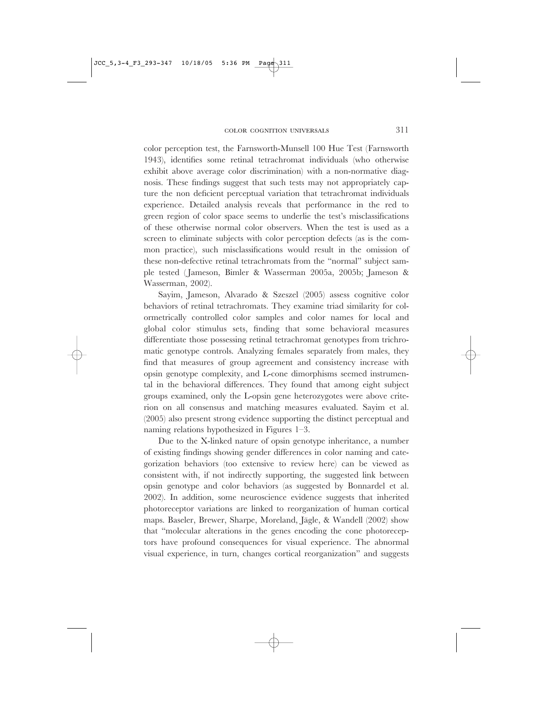color perception test, the Farnsworth-Munsell 100 Hue Test (Farnsworth 1943), identifies some retinal tetrachromat individuals (who otherwise exhibit above average color discrimination) with a non-normative diagnosis. These findings suggest that such tests may not appropriately capture the non deficient perceptual variation that tetrachromat individuals experience. Detailed analysis reveals that performance in the red to green region of color space seems to underlie the test's misclassifications of these otherwise normal color observers. When the test is used as a screen to eliminate subjects with color perception defects (as is the common practice), such misclassifications would result in the omission of these non-defective retinal tetrachromats from the "normal" subject sample tested ( Jameson, Bimler & Wasserman 2005a, 2005b; Jameson & Wasserman, 2002).

Sayim, Jameson, Alvarado & Szeszel (2005) assess cognitive color behaviors of retinal tetrachromats. They examine triad similarity for colormetrically controlled color samples and color names for local and global color stimulus sets, finding that some behavioral measures differentiate those possessing retinal tetrachromat genotypes from trichromatic genotype controls. Analyzing females separately from males, they find that measures of group agreement and consistency increase with opsin genotype complexity, and L-cone dimorphisms seemed instrumental in the behavioral differences. They found that among eight subject groups examined, only the L-opsin gene heterozygotes were above criterion on all consensus and matching measures evaluated. Sayim et al. (2005) also present strong evidence supporting the distinct perceptual and naming relations hypothesized in Figures 1–3.

Due to the X-linked nature of opsin genotype inheritance, a number of existing findings showing gender differences in color naming and categorization behaviors (too extensive to review here) can be viewed as consistent with, if not indirectly supporting, the suggested link between opsin genotype and color behaviors (as suggested by Bonnardel et al. 2002). In addition, some neuroscience evidence suggests that inherited photoreceptor variations are linked to reorganization of human cortical maps. Baseler, Brewer, Sharpe, Moreland, Jägle, & Wandell (2002) show that "molecular alterations in the genes encoding the cone photoreceptors have profound consequences for visual experience. The abnormal visual experience, in turn, changes cortical reorganization" and suggests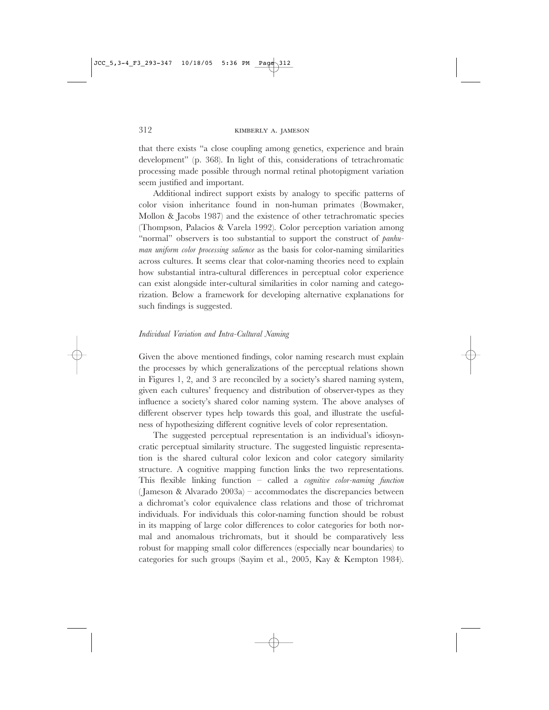that there exists "a close coupling among genetics, experience and brain development" (p. 368). In light of this, considerations of tetrachromatic processing made possible through normal retinal photopigment variation seem justified and important.

Additional indirect support exists by analogy to specific patterns of color vision inheritance found in non-human primates (Bowmaker, Mollon & Jacobs 1987) and the existence of other tetrachromatic species (Thompson, Palacios & Varela 1992). Color perception variation among "normal" observers is too substantial to support the construct of *panhuman uniform color processing salience* as the basis for color-naming similarities across cultures. It seems clear that color-naming theories need to explain how substantial intra-cultural differences in perceptual color experience can exist alongside inter-cultural similarities in color naming and categorization. Below a framework for developing alternative explanations for such findings is suggested.

# *Individual Variation and Intra-Cultural Naming*

Given the above mentioned findings, color naming research must explain the processes by which generalizations of the perceptual relations shown in Figures 1, 2, and 3 are reconciled by a society's shared naming system, given each cultures' frequency and distribution of observer-types as they influence a society's shared color naming system. The above analyses of different observer types help towards this goal, and illustrate the usefulness of hypothesizing different cognitive levels of color representation.

The suggested perceptual representation is an individual's idiosyncratic perceptual similarity structure. The suggested linguistic representation is the shared cultural color lexicon and color category similarity structure. A cognitive mapping function links the two representations. This flexible linking function – called a *cognitive color-naming function* ( Jameson & Alvarado 2003a) – accommodates the discrepancies between a dichromat's color equivalence class relations and those of trichromat individuals. For individuals this color-naming function should be robust in its mapping of large color differences to color categories for both normal and anomalous trichromats, but it should be comparatively less robust for mapping small color differences (especially near boundaries) to categories for such groups (Sayim et al., 2005, Kay & Kempton 1984).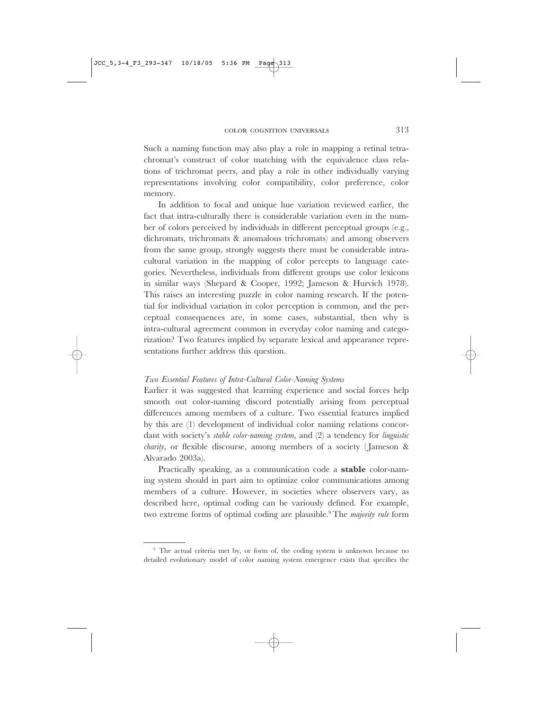JCC 5,3-4 F3 293-347 10/18/05

Such a naming function may also play a role in mapping a retinal tetrachromat's construct of color matching with the equivalence class relations of trichromat peers, and play a role in other individually varying representations involving color compatibility, color preference, color memory.

In addition to focal and unique hue variation reviewed earlier, the fact that intra-culturally there is considerable variation even in the number of colors perceived by individuals in different perceptual groups (e.g., dichromats, trichromats & anomalous trichromats) and among observers from the same group, strongly suggests there must be considerable intracultural variation in the mapping of color percepts to language categories. Nevertheless, individuals from different groups use color lexicons in similar ways (Shepard & Cooper, 1992; Jameson & Hurvich 1978). This raises an interesting puzzle in color naming research. If the potential for individual variation in color perception is common, and the perceptual consequences are, in some cases, substantial, then why is intra-cultural agreement common in everyday color naming and categorization? Two features implied by separate lexical and appearance representations further address this question.

# *Two Essential Features of Intra-Cultural Color-Naming Systems*

Earlier it was suggested that learning experience and social forces help smooth out color-naming discord potentially arising from perceptual differences among members of a culture. Two essential features implied by this are (1) development of individual color naming relations concordant with society's *stable color-naming system*, and (2) a tendency for *linguistic charity*, or flexible discourse, among members of a society ( Jameson & Alvarado 2003a).

Practically speaking, as a communication code a **stable** color-naming system should in part aim to optimize color communications among members of a culture. However, in societies where observers vary, as described here, optimal coding can be variously defined. For example, two extreme forms of optimal coding are plausible.9 The *majority rule* form

COLOR COGNITION UNIVERSALS 313

<sup>&</sup>lt;sup>9</sup> The actual criteria met by, or form of, the coding system is unknown because no detailed evolutionary model of color naming system emergence exists that specifies the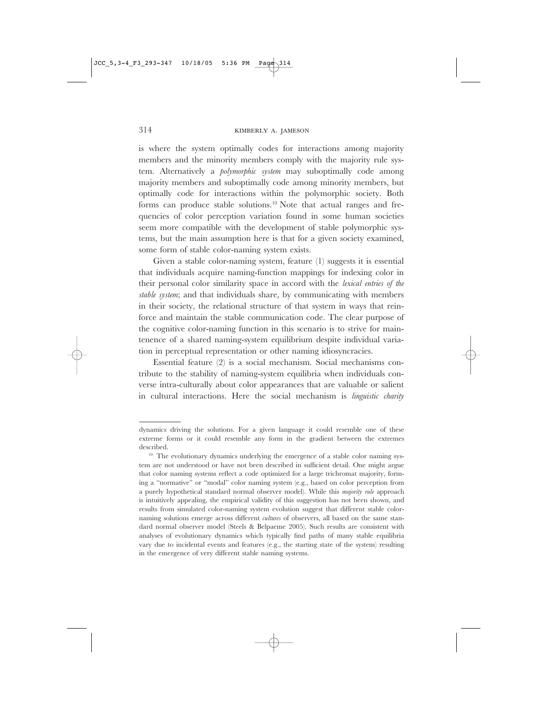is where the system optimally codes for interactions among majority members and the minority members comply with the majority rule system. Alternatively a *polymorphic system* may suboptimally code among majority members and suboptimally code among minority members, but optimally code for interactions within the polymorphic society. Both forms can produce stable solutions.10 Note that actual ranges and frequencies of color perception variation found in some human societies seem more compatible with the development of stable polymorphic systems, but the main assumption here is that for a given society examined, some form of stable color-naming system exists.

Given a stable color-naming system, feature (1) suggests it is essential that individuals acquire naming-function mappings for indexing color in their personal color similarity space in accord with the *lexical entries of the stable system*; and that individuals share, by communicating with members in their society, the relational structure of that system in ways that reinforce and maintain the stable communication code. The clear purpose of the cognitive color-naming function in this scenario is to strive for maintenence of a shared naming-system equilibrium despite individual variation in perceptual representation or other naming idiosyncracies.

Essential feature (2) is a social mechanism. Social mechanisms contribute to the stability of naming-system equilibria when individuals converse intra-culturally about color appearances that are valuable or salient in cultural interactions. Here the social mechanism is *linguistic charity*

dynamics driving the solutions. For a given language it could resemble one of these extreme forms or it could resemble any form in the gradient between the extremes described.

<sup>&</sup>lt;sup>10</sup> The evolutionary dynamics underlying the emergence of a stable color naming system are not understood or have not been described in sufficient detail. One might argue that color naming systems reflect a code optimized for a large trichromat majority, forming a "normative" or "modal" color naming system (e.g., based on color perception from a purely hypothetical standard normal observer model). While this *majority rule* approach is intuitively appealing, the empirical validity of this suggestion has not been shown, and results from simulated color-naming system evolution suggest that different stable colornaming solutions emerge across different *cultures* of observers, all based on the same standard normal observer model (Steels & Belpaeme 2005). Such results are consistent with analyses of evolutionary dynamics which typically find paths of many stable equilibria vary due to incidental events and features (e.g., the starting state of the system) resulting in the emergence of very different stable naming systems.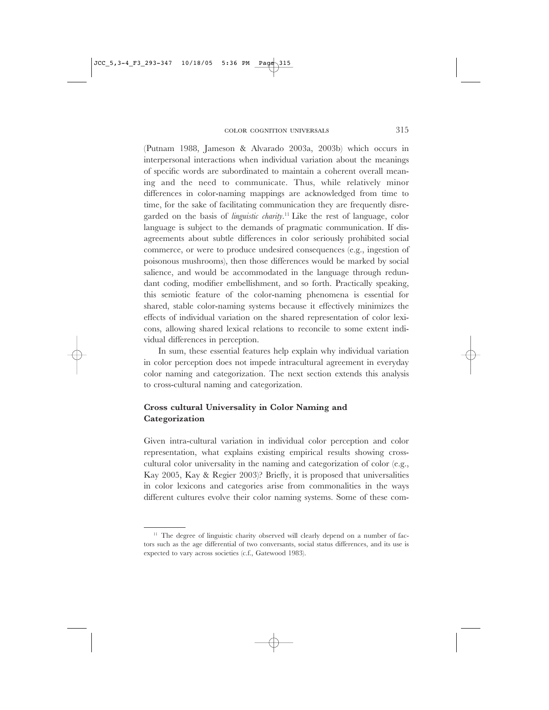(Putnam 1988, Jameson & Alvarado 2003a, 2003b) which occurs in interpersonal interactions when individual variation about the meanings of specific words are subordinated to maintain a coherent overall meaning and the need to communicate. Thus, while relatively minor differences in color-naming mappings are acknowledged from time to time, for the sake of facilitating communication they are frequently disregarded on the basis of *linguistic charity*. 11 Like the rest of language, color language is subject to the demands of pragmatic communication. If disagreements about subtle differences in color seriously prohibited social commerce, or were to produce undesired consequences (e.g., ingestion of poisonous mushrooms), then those differences would be marked by social salience, and would be accommodated in the language through redundant coding, modifier embellishment, and so forth. Practically speaking, this semiotic feature of the color-naming phenomena is essential for shared, stable color-naming systems because it effectively minimizes the effects of individual variation on the shared representation of color lexicons, allowing shared lexical relations to reconcile to some extent individual differences in perception.

In sum, these essential features help explain why individual variation in color perception does not impede intracultural agreement in everyday color naming and categorization. The next section extends this analysis to cross-cultural naming and categorization.

# **Cross cultural Universality in Color Naming and Categorization**

Given intra-cultural variation in individual color perception and color representation, what explains existing empirical results showing crosscultural color universality in the naming and categorization of color (e.g., Kay 2005, Kay & Regier 2003)? Briefly, it is proposed that universalities in color lexicons and categories arise from commonalities in the ways different cultures evolve their color naming systems. Some of these com-

 $11$  The degree of linguistic charity observed will clearly depend on a number of factors such as the age differential of two conversants, social status differences, and its use is expected to vary across societies (c.f., Gatewood 1983).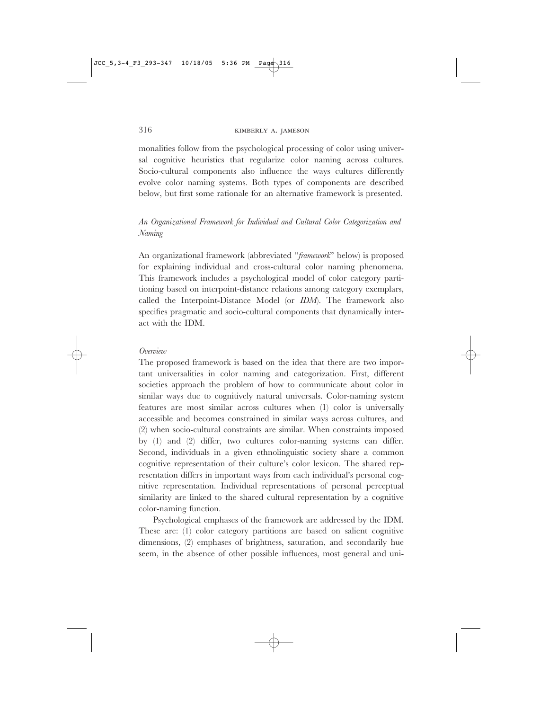monalities follow from the psychological processing of color using universal cognitive heuristics that regularize color naming across cultures. Socio-cultural components also influence the ways cultures differently evolve color naming systems. Both types of components are described below, but first some rationale for an alternative framework is presented.

# *An Organizational Framework for Individual and Cultural Color Categorization and Naming*

An organizational framework (abbreviated "*framework*" below) is proposed for explaining individual and cross-cultural color naming phenomena. This framework includes a psychological model of color category partitioning based on interpoint-distance relations among category exemplars, called the Interpoint-Distance Model (or *IDM*). The framework also specifies pragmatic and socio-cultural components that dynamically interact with the IDM.

# *Overview*

The proposed framework is based on the idea that there are two important universalities in color naming and categorization. First, different societies approach the problem of how to communicate about color in similar ways due to cognitively natural universals. Color-naming system features are most similar across cultures when (1) color is universally accessible and becomes constrained in similar ways across cultures, and (2) when socio-cultural constraints are similar. When constraints imposed by (1) and (2) differ, two cultures color-naming systems can differ. Second, individuals in a given ethnolinguistic society share a common cognitive representation of their culture's color lexicon. The shared representation differs in important ways from each individual's personal cognitive representation. Individual representations of personal perceptual similarity are linked to the shared cultural representation by a cognitive color-naming function.

Psychological emphases of the framework are addressed by the IDM. These are: (1) color category partitions are based on salient cognitive dimensions, (2) emphases of brightness, saturation, and secondarily hue seem, in the absence of other possible influences, most general and uni-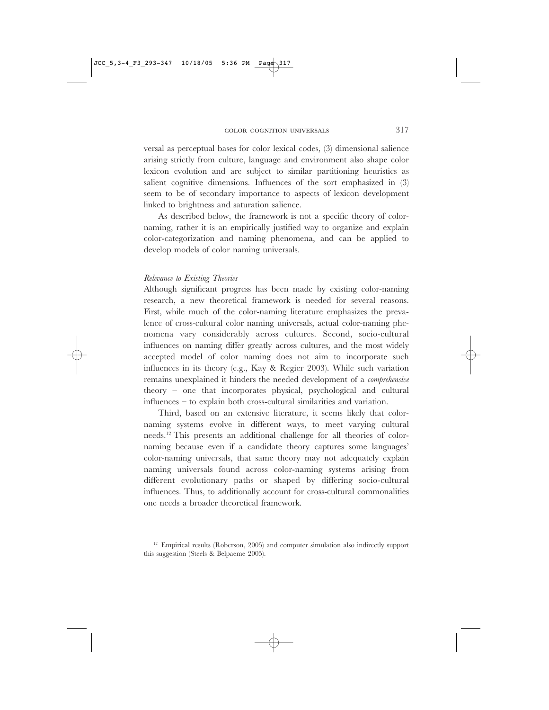versal as perceptual bases for color lexical codes, (3) dimensional salience arising strictly from culture, language and environment also shape color lexicon evolution and are subject to similar partitioning heuristics as salient cognitive dimensions. Influences of the sort emphasized in (3) seem to be of secondary importance to aspects of lexicon development linked to brightness and saturation salience.

As described below, the framework is not a specific theory of colornaming, rather it is an empirically justified way to organize and explain color-categorization and naming phenomena, and can be applied to develop models of color naming universals.

#### *Relevance to Existing Theories*

 $JCC_5$ , 3-4\_F3\_293-347 10/18/05

Although significant progress has been made by existing color-naming research, a new theoretical framework is needed for several reasons. First, while much of the color-naming literature emphasizes the prevalence of cross-cultural color naming universals, actual color-naming phenomena vary considerably across cultures. Second, socio-cultural influences on naming differ greatly across cultures, and the most widely accepted model of color naming does not aim to incorporate such influences in its theory (e.g., Kay & Regier 2003). While such variation remains unexplained it hinders the needed development of a *comprehensive* theory – one that incorporates physical, psychological and cultural influences – to explain both cross-cultural similarities and variation.

Third, based on an extensive literature, it seems likely that colornaming systems evolve in different ways, to meet varying cultural needs.12 This presents an additional challenge for all theories of colornaming because even if a candidate theory captures some languages' color-naming universals, that same theory may not adequately explain naming universals found across color-naming systems arising from different evolutionary paths or shaped by differing socio-cultural influences. Thus, to additionally account for cross-cultural commonalities one needs a broader theoretical framework.

 $12$  Empirical results (Roberson, 2005) and computer simulation also indirectly support this suggestion (Steels & Belpaeme 2005).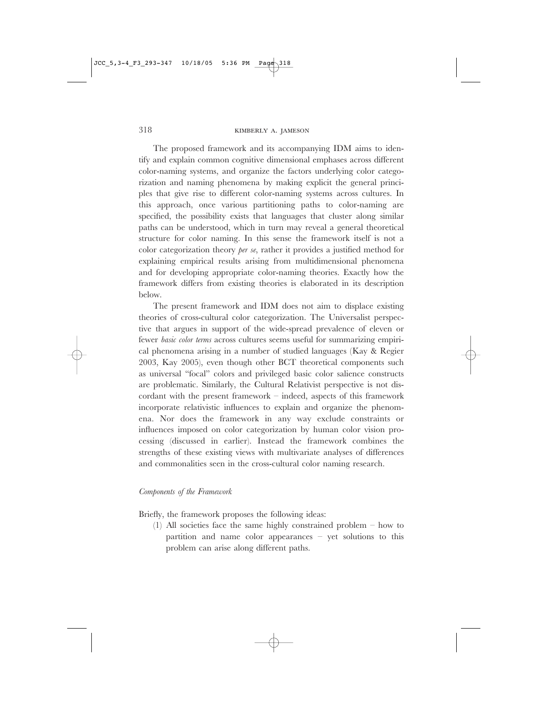The proposed framework and its accompanying IDM aims to identify and explain common cognitive dimensional emphases across different color-naming systems, and organize the factors underlying color categorization and naming phenomena by making explicit the general principles that give rise to different color-naming systems across cultures. In this approach, once various partitioning paths to color-naming are specified, the possibility exists that languages that cluster along similar paths can be understood, which in turn may reveal a general theoretical structure for color naming. In this sense the framework itself is not a color categorization theory *per se*, rather it provides a justified method for explaining empirical results arising from multidimensional phenomena and for developing appropriate color-naming theories. Exactly how the framework differs from existing theories is elaborated in its description below.

The present framework and IDM does not aim to displace existing theories of cross-cultural color categorization. The Universalist perspective that argues in support of the wide-spread prevalence of eleven or fewer *basic color terms* across cultures seems useful for summarizing empirical phenomena arising in a number of studied languages (Kay & Regier 2003, Kay 2005), even though other BCT theoretical components such as universal "focal" colors and privileged basic color salience constructs are problematic. Similarly, the Cultural Relativist perspective is not discordant with the present framework – indeed, aspects of this framework incorporate relativistic influences to explain and organize the phenomena. Nor does the framework in any way exclude constraints or influences imposed on color categorization by human color vision processing (discussed in earlier). Instead the framework combines the strengths of these existing views with multivariate analyses of differences and commonalities seen in the cross-cultural color naming research.

#### *Components of the Framework*

Briefly, the framework proposes the following ideas:

(1) All societies face the same highly constrained problem – how to partition and name color appearances – yet solutions to this problem can arise along different paths.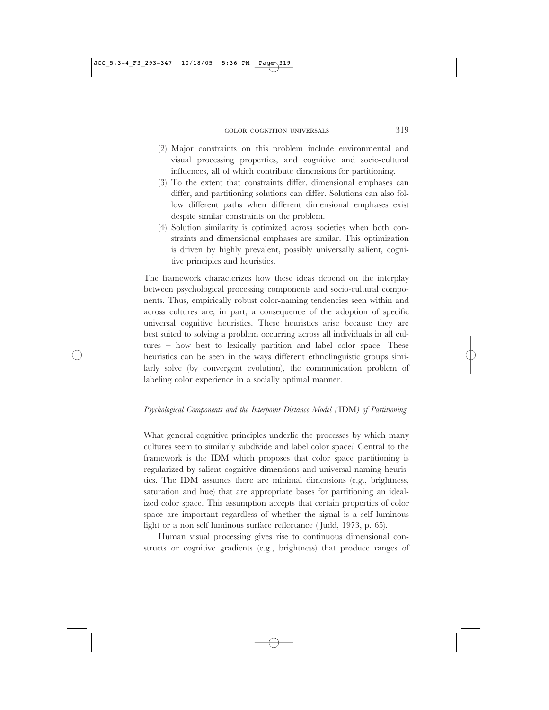- (2) Major constraints on this problem include environmental and visual processing properties, and cognitive and socio-cultural influences, all of which contribute dimensions for partitioning.
- (3) To the extent that constraints differ, dimensional emphases can differ, and partitioning solutions can differ. Solutions can also follow different paths when different dimensional emphases exist despite similar constraints on the problem.
- (4) Solution similarity is optimized across societies when both constraints and dimensional emphases are similar. This optimization is driven by highly prevalent, possibly universally salient, cognitive principles and heuristics.

The framework characterizes how these ideas depend on the interplay between psychological processing components and socio-cultural components. Thus, empirically robust color-naming tendencies seen within and across cultures are, in part, a consequence of the adoption of specific universal cognitive heuristics. These heuristics arise because they are best suited to solving a problem occurring across all individuals in all cultures – how best to lexically partition and label color space. These heuristics can be seen in the ways different ethnolinguistic groups similarly solve (by convergent evolution), the communication problem of labeling color experience in a socially optimal manner.

# *Psychological Components and the Interpoint-Distance Model (*IDM*) of Partitioning*

What general cognitive principles underlie the processes by which many cultures seem to similarly subdivide and label color space? Central to the framework is the IDM which proposes that color space partitioning is regularized by salient cognitive dimensions and universal naming heuristics. The IDM assumes there are minimal dimensions (e.g., brightness, saturation and hue) that are appropriate bases for partitioning an idealized color space. This assumption accepts that certain properties of color space are important regardless of whether the signal is a self luminous light or a non self luminous surface reflectance ( Judd, 1973, p. 65).

Human visual processing gives rise to continuous dimensional constructs or cognitive gradients (e.g., brightness) that produce ranges of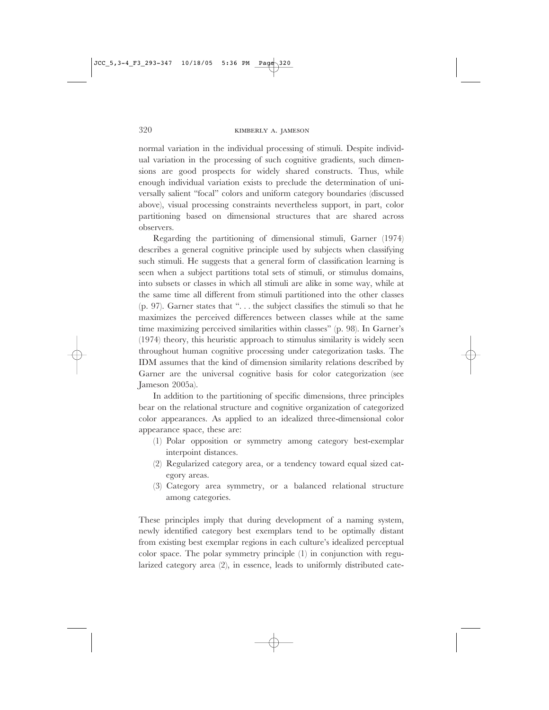normal variation in the individual processing of stimuli. Despite individual variation in the processing of such cognitive gradients, such dimensions are good prospects for widely shared constructs. Thus, while enough individual variation exists to preclude the determination of universally salient "focal" colors and uniform category boundaries (discussed above), visual processing constraints nevertheless support, in part, color partitioning based on dimensional structures that are shared across observers.

Regarding the partitioning of dimensional stimuli, Garner (1974) describes a general cognitive principle used by subjects when classifying such stimuli. He suggests that a general form of classification learning is seen when a subject partitions total sets of stimuli, or stimulus domains, into subsets or classes in which all stimuli are alike in some way, while at the same time all different from stimuli partitioned into the other classes (p. 97). Garner states that ". . . the subject classifies the stimuli so that he maximizes the perceived differences between classes while at the same time maximizing perceived similarities within classes" (p. 98). In Garner's (1974) theory, this heuristic approach to stimulus similarity is widely seen throughout human cognitive processing under categorization tasks. The IDM assumes that the kind of dimension similarity relations described by Garner are the universal cognitive basis for color categorization (see Jameson 2005a).

In addition to the partitioning of specific dimensions, three principles bear on the relational structure and cognitive organization of categorized color appearances. As applied to an idealized three-dimensional color appearance space, these are:

- (1) Polar opposition or symmetry among category best-exemplar interpoint distances.
- (2) Regularized category area, or a tendency toward equal sized category areas.
- (3) Category area symmetry, or a balanced relational structure among categories.

These principles imply that during development of a naming system, newly identified category best exemplars tend to be optimally distant from existing best exemplar regions in each culture's idealized perceptual color space. The polar symmetry principle (1) in conjunction with regularized category area (2), in essence, leads to uniformly distributed cate-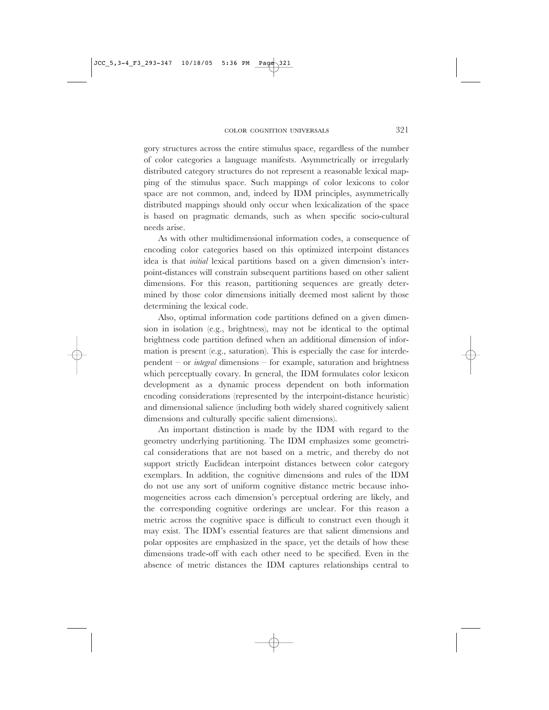gory structures across the entire stimulus space, regardless of the number of color categories a language manifests. Asymmetrically or irregularly distributed category structures do not represent a reasonable lexical mapping of the stimulus space. Such mappings of color lexicons to color space are not common, and, indeed by IDM principles, asymmetrically distributed mappings should only occur when lexicalization of the space is based on pragmatic demands, such as when specific socio-cultural needs arise.

As with other multidimensional information codes, a consequence of encoding color categories based on this optimized interpoint distances idea is that *initial* lexical partitions based on a given dimension's interpoint-distances will constrain subsequent partitions based on other salient dimensions. For this reason, partitioning sequences are greatly determined by those color dimensions initially deemed most salient by those determining the lexical code.

Also, optimal information code partitions defined on a given dimension in isolation (e.g., brightness), may not be identical to the optimal brightness code partition defined when an additional dimension of information is present (e.g., saturation). This is especially the case for interdependent – or *integral* dimensions – for example, saturation and brightness which perceptually covary. In general, the IDM formulates color lexicon development as a dynamic process dependent on both information encoding considerations (represented by the interpoint-distance heuristic) and dimensional salience (including both widely shared cognitively salient dimensions and culturally specific salient dimensions).

An important distinction is made by the IDM with regard to the geometry underlying partitioning. The IDM emphasizes some geometrical considerations that are not based on a metric, and thereby do not support strictly Euclidean interpoint distances between color category exemplars. In addition, the cognitive dimensions and rules of the IDM do not use any sort of uniform cognitive distance metric because inhomogeneities across each dimension's perceptual ordering are likely, and the corresponding cognitive orderings are unclear. For this reason a metric across the cognitive space is difficult to construct even though it may exist. The IDM's essential features are that salient dimensions and polar opposites are emphasized in the space, yet the details of how these dimensions trade-off with each other need to be specified. Even in the absence of metric distances the IDM captures relationships central to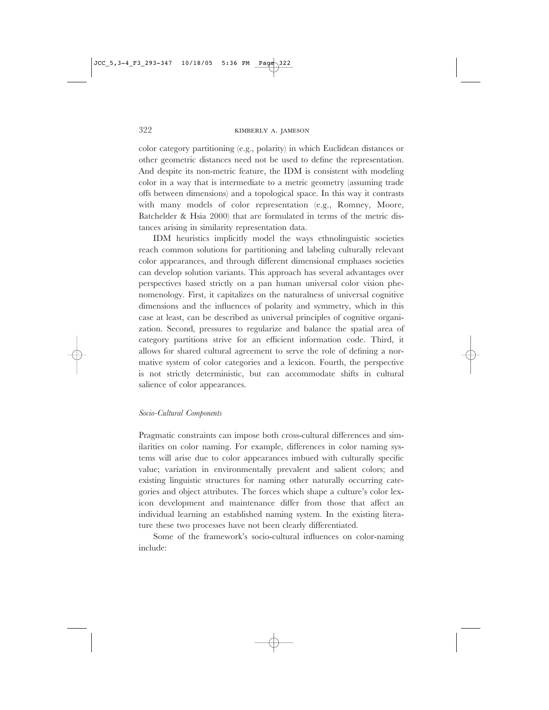color category partitioning (e.g., polarity) in which Euclidean distances or other geometric distances need not be used to define the representation. And despite its non-metric feature, the IDM is consistent with modeling color in a way that is intermediate to a metric geometry (assuming trade offs between dimensions) and a topological space. In this way it contrasts with many models of color representation (e.g., Romney, Moore, Batchelder & Hsia 2000) that are formulated in terms of the metric distances arising in similarity representation data.

IDM heuristics implicitly model the ways ethnolinguistic societies reach common solutions for partitioning and labeling culturally relevant color appearances, and through different dimensional emphases societies can develop solution variants. This approach has several advantages over perspectives based strictly on a pan human universal color vision phenomenology. First, it capitalizes on the naturalness of universal cognitive dimensions and the influences of polarity and symmetry, which in this case at least, can be described as universal principles of cognitive organization. Second, pressures to regularize and balance the spatial area of category partitions strive for an efficient information code. Third, it allows for shared cultural agreement to serve the role of defining a normative system of color categories and a lexicon. Fourth, the perspective is not strictly deterministic, but can accommodate shifts in cultural salience of color appearances.

#### *Socio-Cultural Components*

Pragmatic constraints can impose both cross-cultural differences and similarities on color naming. For example, differences in color naming systems will arise due to color appearances imbued with culturally specific value; variation in environmentally prevalent and salient colors; and existing linguistic structures for naming other naturally occurring categories and object attributes. The forces which shape a culture's color lexicon development and maintenance differ from those that affect an individual learning an established naming system. In the existing literature these two processes have not been clearly differentiated.

Some of the framework's socio-cultural influences on color-naming include: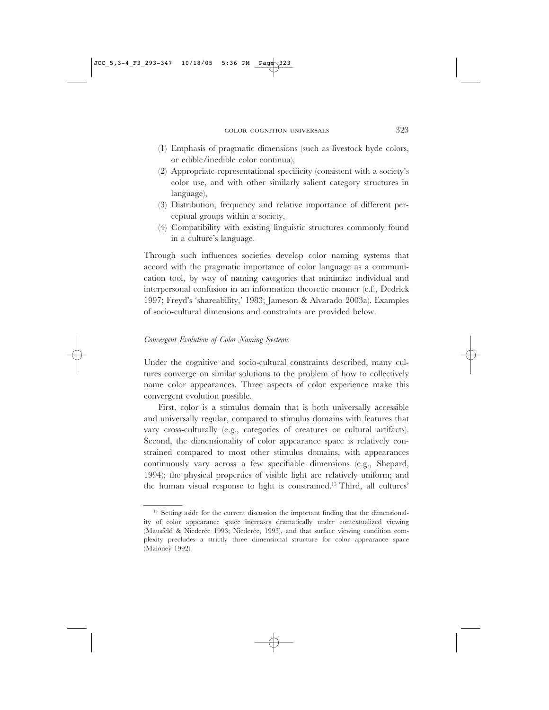- (1) Emphasis of pragmatic dimensions (such as livestock hyde colors, or edible/inedible color continua),
- (2) Appropriate representational specificity (consistent with a society's color use, and with other similarly salient category structures in language),
- (3) Distribution, frequency and relative importance of different perceptual groups within a society,
- (4) Compatibility with existing linguistic structures commonly found in a culture's language.

Through such influences societies develop color naming systems that accord with the pragmatic importance of color language as a communication tool, by way of naming categories that minimize individual and interpersonal confusion in an information theoretic manner (c.f., Dedrick 1997; Freyd's 'shareability,' 1983; Jameson & Alvarado 2003a). Examples of socio-cultural dimensions and constraints are provided below.

#### *Convergent Evolution of Color-Naming Systems*

Under the cognitive and socio-cultural constraints described, many cultures converge on similar solutions to the problem of how to collectively name color appearances. Three aspects of color experience make this convergent evolution possible.

First, color is a stimulus domain that is both universally accessible and universally regular, compared to stimulus domains with features that vary cross-culturally (e.g., categories of creatures or cultural artifacts). Second, the dimensionality of color appearance space is relatively constrained compared to most other stimulus domains, with appearances continuously vary across a few specifiable dimensions (e.g., Shepard, 1994); the physical properties of visible light are relatively uniform; and the human visual response to light is constrained.13 Third, all cultures'

<sup>&</sup>lt;sup>13</sup> Setting aside for the current discussion the important finding that the dimensionality of color appearance space increases dramatically under contextualized viewing (Mausfeld & Niederée 1993; Niederée, 1993), and that surface viewing condition complexity precludes a strictly three dimensional structure for color appearance space (Maloney 1992).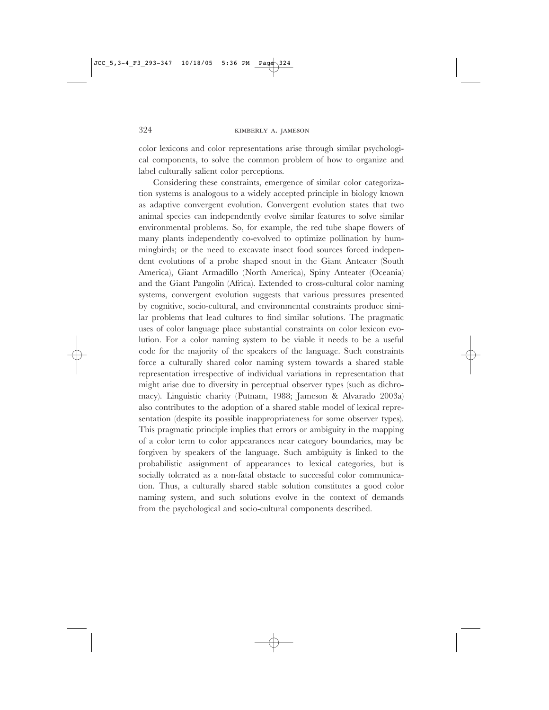color lexicons and color representations arise through similar psychological components, to solve the common problem of how to organize and label culturally salient color perceptions.

Considering these constraints, emergence of similar color categorization systems is analogous to a widely accepted principle in biology known as adaptive convergent evolution. Convergent evolution states that two animal species can independently evolve similar features to solve similar environmental problems. So, for example, the red tube shape flowers of many plants independently co-evolved to optimize pollination by hummingbirds; or the need to excavate insect food sources forced independent evolutions of a probe shaped snout in the Giant Anteater (South America), Giant Armadillo (North America), Spiny Anteater (Oceania) and the Giant Pangolin (Africa). Extended to cross-cultural color naming systems, convergent evolution suggests that various pressures presented by cognitive, socio-cultural, and environmental constraints produce similar problems that lead cultures to find similar solutions. The pragmatic uses of color language place substantial constraints on color lexicon evolution. For a color naming system to be viable it needs to be a useful code for the majority of the speakers of the language. Such constraints force a culturally shared color naming system towards a shared stable representation irrespective of individual variations in representation that might arise due to diversity in perceptual observer types (such as dichromacy). Linguistic charity (Putnam, 1988; Jameson & Alvarado 2003a) also contributes to the adoption of a shared stable model of lexical representation (despite its possible inappropriateness for some observer types). This pragmatic principle implies that errors or ambiguity in the mapping of a color term to color appearances near category boundaries, may be forgiven by speakers of the language. Such ambiguity is linked to the probabilistic assignment of appearances to lexical categories, but is socially tolerated as a non-fatal obstacle to successful color communication. Thus, a culturally shared stable solution constitutes a good color naming system, and such solutions evolve in the context of demands from the psychological and socio-cultural components described.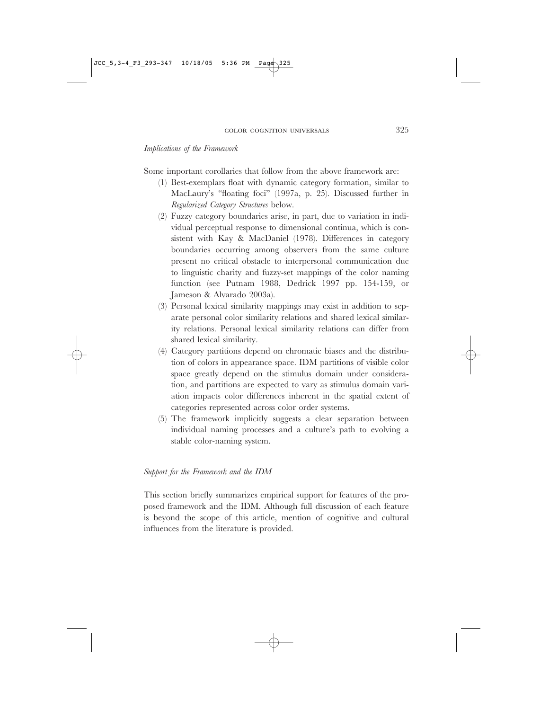# *Implications of the Framework*

Some important corollaries that follow from the above framework are:

- (1) Best-exemplars float with dynamic category formation, similar to MacLaury's "floating foci" (1997a, p. 25). Discussed further in *Regularized Category Structures* below.
- (2) Fuzzy category boundaries arise, in part, due to variation in individual perceptual response to dimensional continua, which is consistent with Kay & MacDaniel (1978). Differences in category boundaries occurring among observers from the same culture present no critical obstacle to interpersonal communication due to linguistic charity and fuzzy-set mappings of the color naming function (see Putnam 1988, Dedrick 1997 pp. 154-159, or Jameson & Alvarado 2003a).
- (3) Personal lexical similarity mappings may exist in addition to separate personal color similarity relations and shared lexical similarity relations. Personal lexical similarity relations can differ from shared lexical similarity.
- (4) Category partitions depend on chromatic biases and the distribution of colors in appearance space. IDM partitions of visible color space greatly depend on the stimulus domain under consideration, and partitions are expected to vary as stimulus domain variation impacts color differences inherent in the spatial extent of categories represented across color order systems.
- (5) The framework implicitly suggests a clear separation between individual naming processes and a culture's path to evolving a stable color-naming system.

# *Support for the Framework and the IDM*

This section briefly summarizes empirical support for features of the proposed framework and the IDM. Although full discussion of each feature is beyond the scope of this article, mention of cognitive and cultural influences from the literature is provided.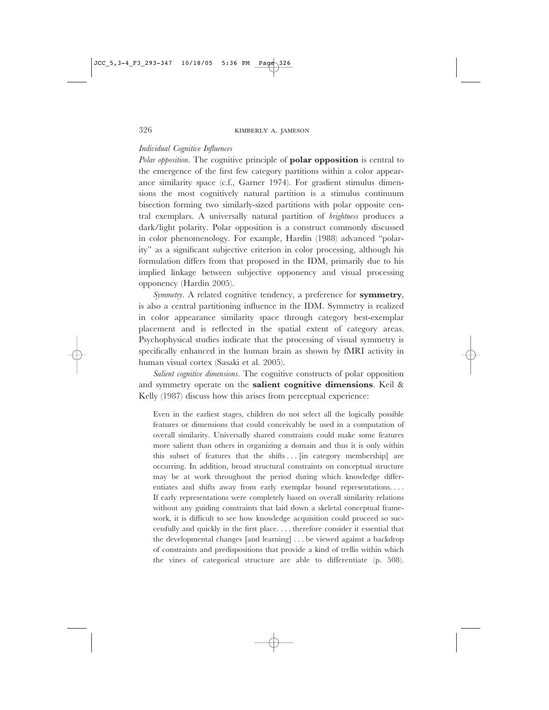# *Individual Cognitive Influences*

*Polar opposition*. The cognitive principle of **polar opposition** is central to the emergence of the first few category partitions within a color appearance similarity space (c.f., Garner 1974). For gradient stimulus dimensions the most cognitively natural partition is a stimulus continuum bisection forming two similarly-sized partitions with polar opposite central exemplars. A universally natural partition of *brightness* produces a dark/light polarity. Polar opposition is a construct commonly discussed in color phenomenology. For example, Hardin (1988) advanced "polarity" as a significant subjective criterion in color processing, although his formulation differs from that proposed in the IDM, primarily due to his implied linkage between subjective opponency and visual processing opponency (Hardin 2005).

*Symmetry*. A related cognitive tendency, a preference for **symmetry**, is also a central partitioning influence in the IDM. Symmetry is realized in color appearance similarity space through category best-exemplar placement and is reflected in the spatial extent of category areas. Psychophysical studies indicate that the processing of visual symmetry is specifically enhanced in the human brain as shown by fMRI activity in human visual cortex (Sasaki et al. 2005).

*Salient cognitive dimensions*. The cognitive constructs of polar opposition and symmetry operate on the **salient cognitive dimensions**. Keil & Kelly (1987) discuss how this arises from perceptual experience:

Even in the earliest stages, children do not select all the logically possible features or dimensions that could conceivably be used in a computation of overall similarity. Universally shared constraints could make some features more salient than others in organizing a domain and thus it is only within this subset of features that the shifts... [in category membership] are occurring. In addition, broad structural constraints on conceptual structure may be at work throughout the period during which knowledge differentiates and shifts away from early exemplar bound representations.... If early representations were completely based on overall similarity relations without any guiding constraints that laid down a skeletal conceptual framework, it is difficult to see how knowledge acquisition could proceed so successfully and quickly in the first place.... therefore consider it essential that the developmental changes [and learning]...be viewed against a backdrop of constraints and predispositions that provide a kind of trellis within which the vines of categorical structure are able to differentiate (p. 508).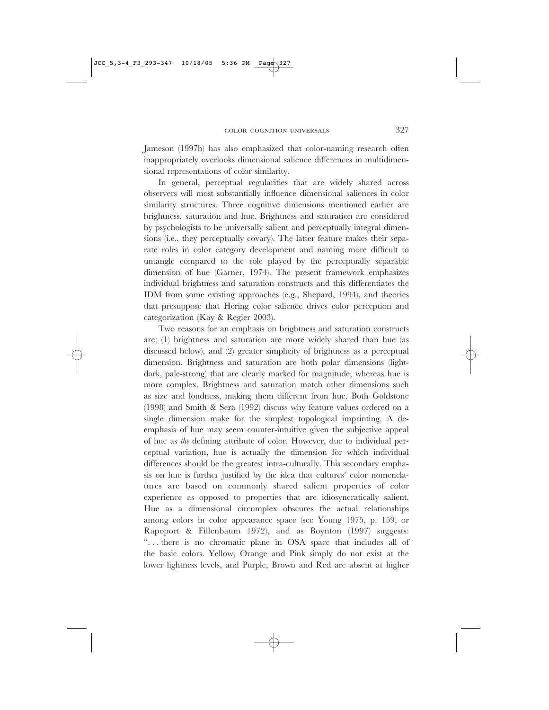Jameson (1997b) has also emphasized that color-naming research often inappropriately overlooks dimensional salience differences in multidimensional representations of color similarity.

In general, perceptual regularities that are widely shared across observers will most substantially influence dimensional saliences in color similarity structures. Three cognitive dimensions mentioned earlier are brightness, saturation and hue. Brightness and saturation are considered by psychologists to be universally salient and perceptually integral dimensions (i.e., they perceptually covary). The latter feature makes their separate roles in color category development and naming more difficult to untangle compared to the role played by the perceptually separable dimension of hue (Garner, 1974). The present framework emphasizes individual brightness and saturation constructs and this differentiates the IDM from some existing approaches (e.g., Shepard, 1994), and theories that presuppose that Hering color salience drives color perception and categorization (Kay & Regier 2003).

Two reasons for an emphasis on brightness and saturation constructs are: (1) brightness and saturation are more widely shared than hue (as discussed below), and (2) greater simplicity of brightness as a perceptual dimension. Brightness and saturation are both polar dimensions (lightdark, pale-strong) that are clearly marked for magnitude, whereas hue is more complex. Brightness and saturation match other dimensions such as size and loudness, making them different from hue. Both Goldstone (1998) and Smith & Sera (1992) discuss why feature values ordered on a single dimension make for the simplest topological imprinting. A deemphasis of hue may seem counter-intuitive given the subjective appeal of hue as *the* defining attribute of color. However, due to individual perceptual variation, hue is actually the dimension for which individual differences should be the greatest intra-culturally. This secondary emphasis on hue is further justified by the idea that cultures' color nomenclatures are based on commonly shared salient properties of color experience as opposed to properties that are idiosyncratically salient. Hue as a dimensional circumplex obscures the actual relationships among colors in color appearance space (see Young 1975, p. 159, or Rapoport & Fillenbaum 1972), and as Boynton (1997) suggests: ". . . there is no chromatic plane in OSA space that includes all of the basic colors. Yellow, Orange and Pink simply do not exist at the lower lightness levels, and Purple, Brown and Red are absent at higher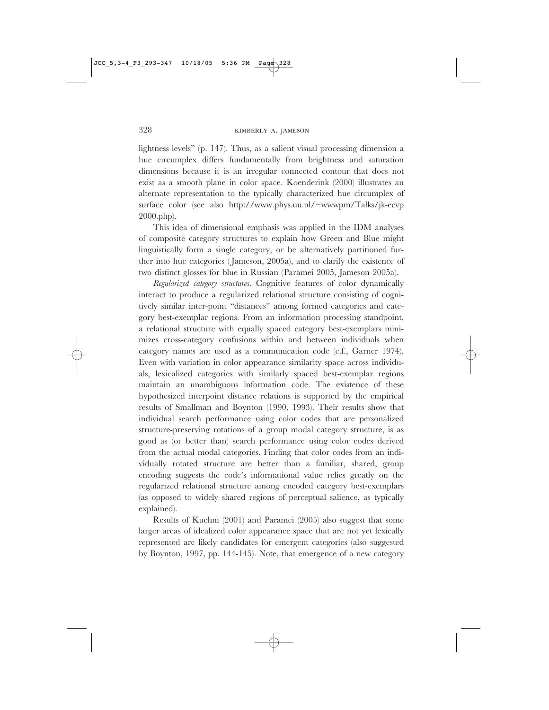lightness levels" (p. 147). Thus, as a salient visual processing dimension a hue circumplex differs fundamentally from brightness and saturation dimensions because it is an irregular connected contour that does not exist as a smooth plane in color space. Koenderink (2000) illustrates an alternate representation to the typically characterized hue circumplex of surface color (see also http://www.phys.uu.nl/~wwwpm/Talks/jk-ecvp 2000.php).

This idea of dimensional emphasis was applied in the IDM analyses of composite category structures to explain how Green and Blue might linguistically form a single category, or be alternatively partitioned further into hue categories (Jameson, 2005a), and to clarify the existence of two distinct glosses for blue in Russian (Paramei 2005, Jameson 2005a).

*Regularized category structures*. Cognitive features of color dynamically interact to produce a regularized relational structure consisting of cognitively similar inter-point "distances" among formed categories and category best-exemplar regions. From an information processing standpoint, a relational structure with equally spaced category best-exemplars minimizes cross-category confusions within and between individuals when category names are used as a communication code (c.f., Garner 1974). Even with variation in color appearance similarity space across individuals, lexicalized categories with similarly spaced best-exemplar regions maintain an unambiguous information code. The existence of these hypothesized interpoint distance relations is supported by the empirical results of Smallman and Boynton (1990, 1993). Their results show that individual search performance using color codes that are personalized structure-preserving rotations of a group modal category structure, is as good as (or better than) search performance using color codes derived from the actual modal categories. Finding that color codes from an individually rotated structure are better than a familiar, shared, group encoding suggests the code's informational value relies greatly on the regularized relational structure among encoded category best-exemplars (as opposed to widely shared regions of perceptual salience, as typically explained).

Results of Kuehni (2001) and Paramei (2005) also suggest that some larger areas of idealized color appearance space that are not yet lexically represented are likely candidates for emergent categories (also suggested by Boynton, 1997, pp. 144-145). Note, that emergence of a new category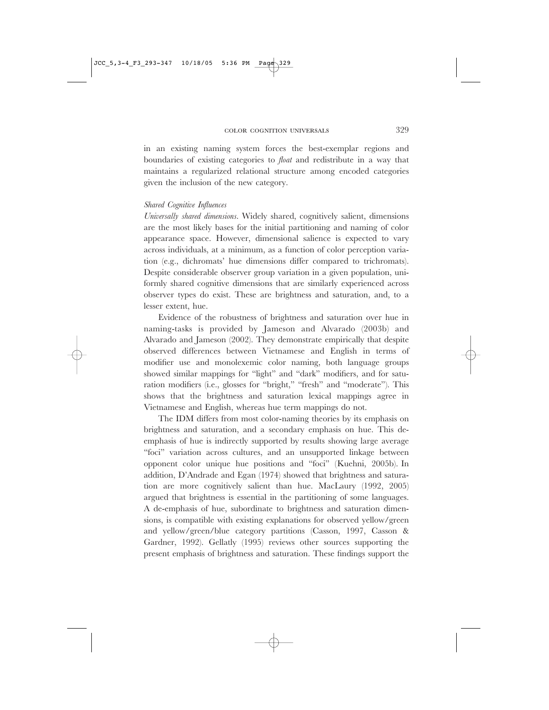in an existing naming system forces the best-exemplar regions and boundaries of existing categories to *float* and redistribute in a way that maintains a regularized relational structure among encoded categories given the inclusion of the new category.

#### *Shared Cognitive Influences*

*Universally shared dimensions*. Widely shared, cognitively salient, dimensions are the most likely bases for the initial partitioning and naming of color appearance space. However, dimensional salience is expected to vary across individuals, at a minimum, as a function of color perception variation (e.g., dichromats' hue dimensions differ compared to trichromats). Despite considerable observer group variation in a given population, uniformly shared cognitive dimensions that are similarly experienced across observer types do exist. These are brightness and saturation, and, to a lesser extent, hue.

Evidence of the robustness of brightness and saturation over hue in naming-tasks is provided by Jameson and Alvarado (2003b) and Alvarado and Jameson (2002). They demonstrate empirically that despite observed differences between Vietnamese and English in terms of modifier use and monolexemic color naming, both language groups showed similar mappings for "light" and "dark" modifiers, and for saturation modifiers (i.e., glosses for "bright," "fresh" and "moderate"). This shows that the brightness and saturation lexical mappings agree in Vietnamese and English, whereas hue term mappings do not.

The IDM differs from most color-naming theories by its emphasis on brightness and saturation, and a secondary emphasis on hue. This deemphasis of hue is indirectly supported by results showing large average "foci" variation across cultures, and an unsupported linkage between opponent color unique hue positions and "foci" (Kuehni, 2005b). In addition, D'Andrade and Egan (1974) showed that brightness and saturation are more cognitively salient than hue. MacLaury (1992, 2005) argued that brightness is essential in the partitioning of some languages. A de-emphasis of hue, subordinate to brightness and saturation dimensions, is compatible with existing explanations for observed yellow/green and yellow/green/blue category partitions (Casson, 1997, Casson & Gardner, 1992). Gellatly (1995) reviews other sources supporting the present emphasis of brightness and saturation. These findings support the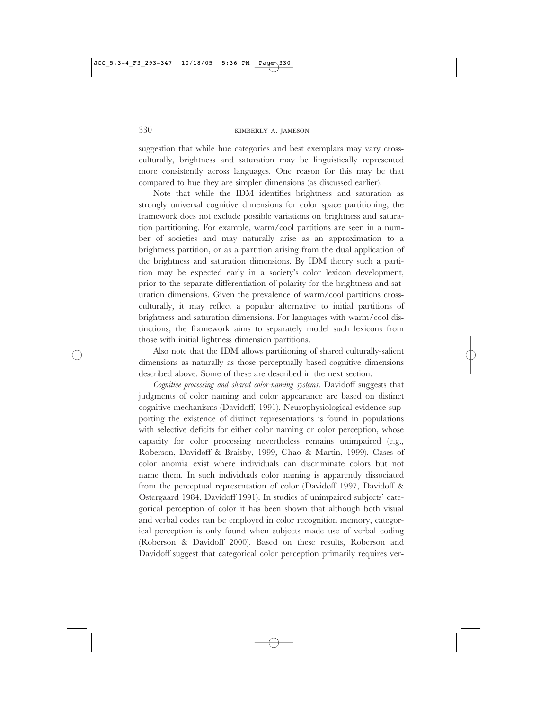suggestion that while hue categories and best exemplars may vary crossculturally, brightness and saturation may be linguistically represented more consistently across languages. One reason for this may be that compared to hue they are simpler dimensions (as discussed earlier).

Note that while the IDM identifies brightness and saturation as strongly universal cognitive dimensions for color space partitioning, the framework does not exclude possible variations on brightness and saturation partitioning. For example, warm/cool partitions are seen in a number of societies and may naturally arise as an approximation to a brightness partition, or as a partition arising from the dual application of the brightness and saturation dimensions. By IDM theory such a partition may be expected early in a society's color lexicon development, prior to the separate differentiation of polarity for the brightness and saturation dimensions. Given the prevalence of warm/cool partitions crossculturally, it may reflect a popular alternative to initial partitions of brightness and saturation dimensions. For languages with warm/cool distinctions, the framework aims to separately model such lexicons from those with initial lightness dimension partitions.

Also note that the IDM allows partitioning of shared culturally-salient dimensions as naturally as those perceptually based cognitive dimensions described above. Some of these are described in the next section.

*Cognitive processing and shared color-naming systems*. Davidoff suggests that judgments of color naming and color appearance are based on distinct cognitive mechanisms (Davidoff, 1991). Neurophysiological evidence supporting the existence of distinct representations is found in populations with selective deficits for either color naming or color perception, whose capacity for color processing nevertheless remains unimpaired (e.g., Roberson, Davidoff & Braisby, 1999, Chao & Martin, 1999). Cases of color anomia exist where individuals can discriminate colors but not name them. In such individuals color naming is apparently dissociated from the perceptual representation of color (Davidoff 1997, Davidoff & Ostergaard 1984, Davidoff 1991). In studies of unimpaired subjects' categorical perception of color it has been shown that although both visual and verbal codes can be employed in color recognition memory, categorical perception is only found when subjects made use of verbal coding (Roberson & Davidoff 2000). Based on these results, Roberson and Davidoff suggest that categorical color perception primarily requires ver-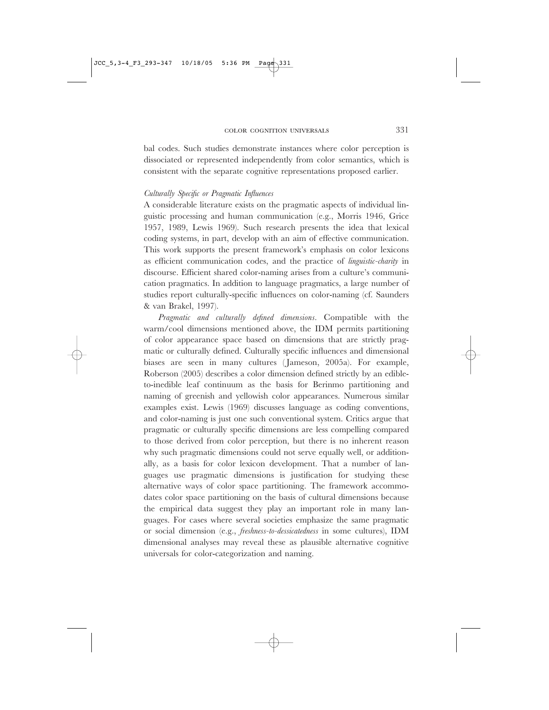bal codes. Such studies demonstrate instances where color perception is dissociated or represented independently from color semantics, which is consistent with the separate cognitive representations proposed earlier.

# *Culturally Specific or Pragmatic Influences*

A considerable literature exists on the pragmatic aspects of individual linguistic processing and human communication (e.g., Morris 1946, Grice 1957, 1989, Lewis 1969). Such research presents the idea that lexical coding systems, in part, develop with an aim of effective communication. This work supports the present framework's emphasis on color lexicons as efficient communication codes, and the practice of *linguistic-charity* in discourse. Efficient shared color-naming arises from a culture's communication pragmatics. In addition to language pragmatics, a large number of studies report culturally-specific influences on color-naming (cf. Saunders & van Brakel, 1997).

*Pragmatic and culturally defined dimensions.* Compatible with the warm/cool dimensions mentioned above, the IDM permits partitioning of color appearance space based on dimensions that are strictly pragmatic or culturally defined. Culturally specific influences and dimensional biases are seen in many cultures (Jameson, 2005a). For example, Roberson (2005) describes a color dimension defined strictly by an edibleto-inedible leaf continuum as the basis for Berinmo partitioning and naming of greenish and yellowish color appearances. Numerous similar examples exist. Lewis (1969) discusses language as coding conventions, and color-naming is just one such conventional system. Critics argue that pragmatic or culturally specific dimensions are less compelling compared to those derived from color perception, but there is no inherent reason why such pragmatic dimensions could not serve equally well, or additionally, as a basis for color lexicon development. That a number of languages use pragmatic dimensions is justification for studying these alternative ways of color space partitioning. The framework accommodates color space partitioning on the basis of cultural dimensions because the empirical data suggest they play an important role in many languages. For cases where several societies emphasize the same pragmatic or social dimension (e.g., *freshness-to-dessicatedness* in some cultures), IDM dimensional analyses may reveal these as plausible alternative cognitive universals for color-categorization and naming.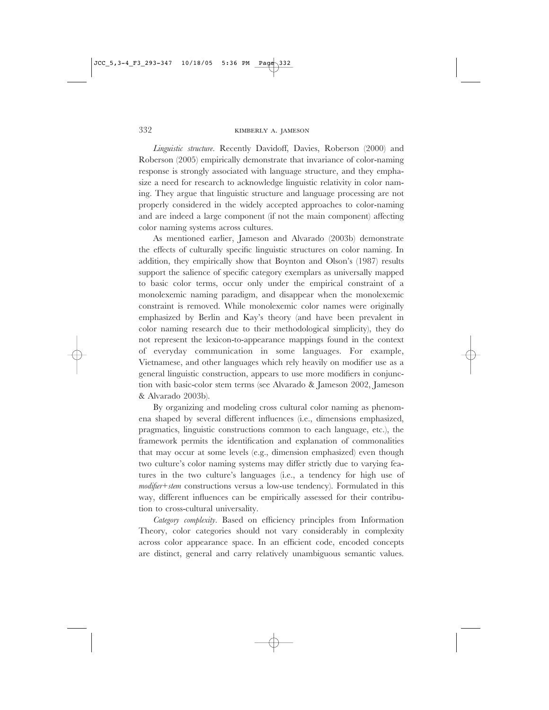*Linguistic structure*. Recently Davidoff, Davies, Roberson (2000) and Roberson (2005) empirically demonstrate that invariance of color-naming response is strongly associated with language structure, and they emphasize a need for research to acknowledge linguistic relativity in color naming. They argue that linguistic structure and language processing are not properly considered in the widely accepted approaches to color-naming and are indeed a large component (if not the main component) affecting color naming systems across cultures.

As mentioned earlier, Jameson and Alvarado (2003b) demonstrate the effects of culturally specific linguistic structures on color naming. In addition, they empirically show that Boynton and Olson's (1987) results support the salience of specific category exemplars as universally mapped to basic color terms, occur only under the empirical constraint of a monolexemic naming paradigm, and disappear when the monolexemic constraint is removed. While monolexemic color names were originally emphasized by Berlin and Kay's theory (and have been prevalent in color naming research due to their methodological simplicity), they do not represent the lexicon-to-appearance mappings found in the context of everyday communication in some languages. For example, Vietnamese, and other languages which rely heavily on modifier use as a general linguistic construction, appears to use more modifiers in conjunction with basic-color stem terms (see Alvarado & Jameson 2002, Jameson & Alvarado 2003b).

By organizing and modeling cross cultural color naming as phenomena shaped by several different influences (i.e., dimensions emphasized, pragmatics, linguistic constructions common to each language, etc.), the framework permits the identification and explanation of commonalities that may occur at some levels (e.g., dimension emphasized) even though two culture's color naming systems may differ strictly due to varying features in the two culture's languages (i.e., a tendency for high use of *modifier+stem* constructions versus a low-use tendency). Formulated in this way, different influences can be empirically assessed for their contribution to cross-cultural universality.

*Category complexity*. Based on efficiency principles from Information Theory, color categories should not vary considerably in complexity across color appearance space. In an efficient code, encoded concepts are distinct, general and carry relatively unambiguous semantic values.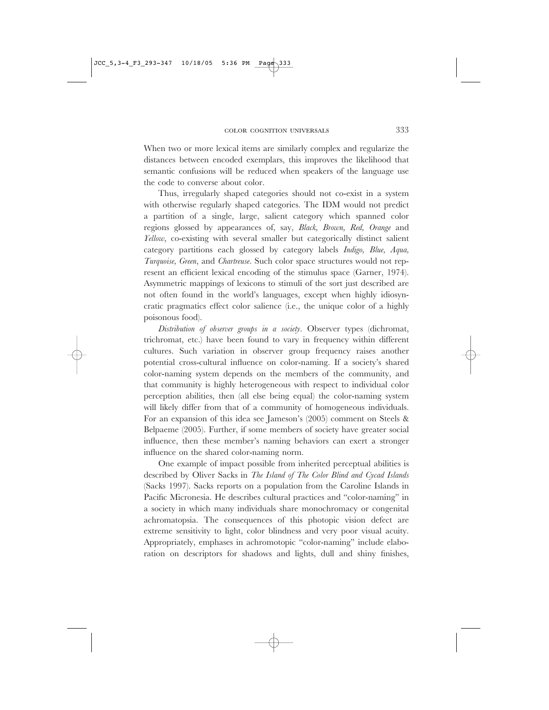When two or more lexical items are similarly complex and regularize the distances between encoded exemplars, this improves the likelihood that semantic confusions will be reduced when speakers of the language use the code to converse about color.

Thus, irregularly shaped categories should not co-exist in a system with otherwise regularly shaped categories. The IDM would not predict a partition of a single, large, salient category which spanned color regions glossed by appearances of, say, *Black, Brown, Red, Orange* and *Yellow*, co-existing with several smaller but categorically distinct salient category partitions each glossed by category labels *Indigo, Blue, Aqua, Turquoise, Green*, and *Chartreuse*. Such color space structures would not represent an efficient lexical encoding of the stimulus space (Garner, 1974). Asymmetric mappings of lexicons to stimuli of the sort just described are not often found in the world's languages, except when highly idiosyncratic pragmatics effect color salience (i.e., the unique color of a highly poisonous food).

*Distribution of observer groups in a society*. Observer types (dichromat, trichromat, etc.) have been found to vary in frequency within different cultures. Such variation in observer group frequency raises another potential cross-cultural influence on color-naming. If a society's shared color-naming system depends on the members of the community, and that community is highly heterogeneous with respect to individual color perception abilities, then (all else being equal) the color-naming system will likely differ from that of a community of homogeneous individuals. For an expansion of this idea see Jameson's (2005) comment on Steels & Belpaeme (2005). Further, if some members of society have greater social influence, then these member's naming behaviors can exert a stronger influence on the shared color-naming norm.

One example of impact possible from inherited perceptual abilities is described by Oliver Sacks in *The Island of The Color Blind and Cycad Islands* (Sacks 1997). Sacks reports on a population from the Caroline Islands in Pacific Micronesia. He describes cultural practices and "color-naming" in a society in which many individuals share monochromacy or congenital achromatopsia. The consequences of this photopic vision defect are extreme sensitivity to light, color blindness and very poor visual acuity. Appropriately, emphases in achromotopic "color-naming" include elaboration on descriptors for shadows and lights, dull and shiny finishes,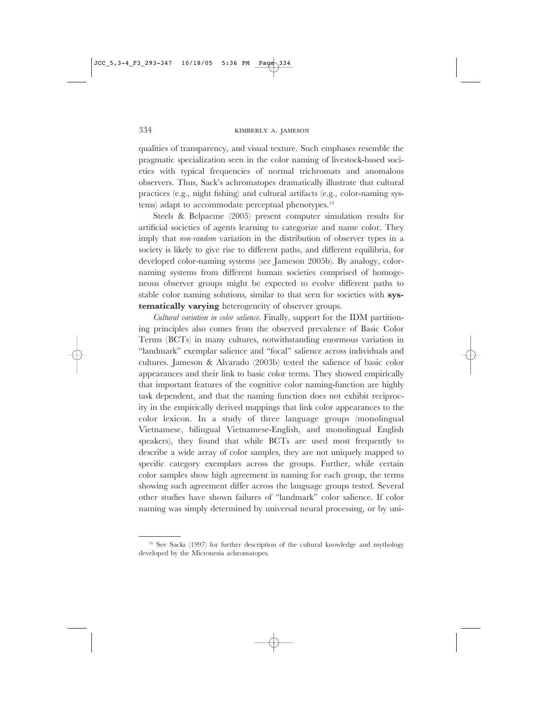qualities of transparency, and visual texture. Such emphases resemble the pragmatic specialization seen in the color naming of livestock-based societies with typical frequencies of normal trichromats and anomalous observers. Thus, Sack's achromatopes dramatically illustrate that cultural practices (e.g., night fishing) and cultural artifacts (e.g., color-naming systems) adapt to accommodate perceptual phenotypes.<sup>14</sup>

Steels & Belpaeme (2005) present computer simulation results for artificial societies of agents learning to categorize and name color. They imply that *non-random* variation in the distribution of observer types in a society is likely to give rise to different paths, and different equilibria, for developed color-naming systems (see Jameson 2005b). By analogy, colornaming systems from different human societies comprised of homogeneous observer groups might be expected to evolve different paths to stable color naming solutions, similar to that seen for societies with **systematically varying** heterogeneity of observer groups.

*Cultural variation in color salience*. Finally, support for the IDM partitioning principles also comes from the observed prevalence of Basic Color Terms (BCTs) in many cultures, notwithstanding enormous variation in "landmark" exemplar salience and "focal" salience across individuals and cultures. Jameson & Alvarado (2003b) tested the salience of basic color appearances and their link to basic color terms. They showed empirically that important features of the cognitive color naming-function are highly task dependent, and that the naming function does not exhibit reciprocity in the empirically derived mappings that link color appearances to the color lexicon. In a study of three language groups (monolingual Vietnamese, bilingual Vietnamese-English, and monolingual English speakers), they found that while BCTs are used most frequently to describe a wide array of color samples, they are not uniquely mapped to specific category exemplars across the groups. Further, while certain color samples show high agreement in naming for each group, the terms showing such agreement differ across the language groups tested. Several other studies have shown failures of "landmark" color salience. If color naming was simply determined by universal neural processing, or by uni-

<sup>&</sup>lt;sup>14</sup> See Sacks (1997) for further description of the cultural knowledge and mythology developed by the Micronesia achromatopes.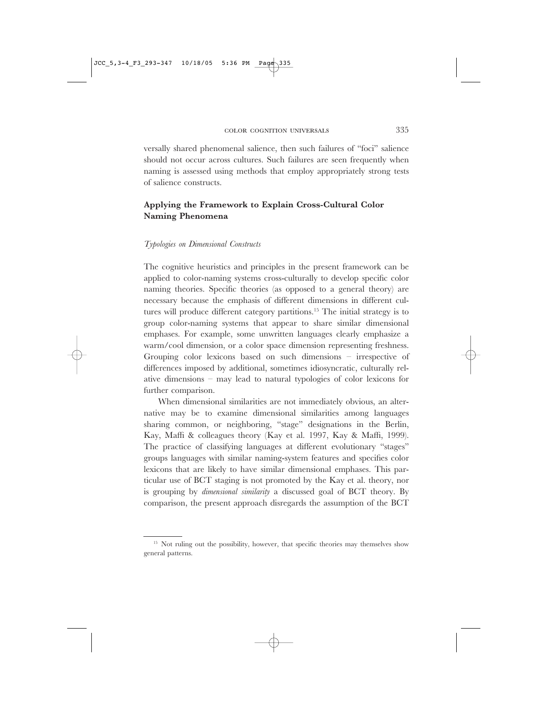$JCC_5$ , 3-4\_F3\_293-347 10/18/05

versally shared phenomenal salience, then such failures of "foci" salience should not occur across cultures. Such failures are seen frequently when naming is assessed using methods that employ appropriately strong tests of salience constructs.

# **Applying the Framework to Explain Cross-Cultural Color Naming Phenomena**

#### *Typologies on Dimensional Constructs*

The cognitive heuristics and principles in the present framework can be applied to color-naming systems cross-culturally to develop specific color naming theories. Specific theories (as opposed to a general theory) are necessary because the emphasis of different dimensions in different cultures will produce different category partitions.15 The initial strategy is to group color-naming systems that appear to share similar dimensional emphases. For example, some unwritten languages clearly emphasize a warm/cool dimension, or a color space dimension representing freshness. Grouping color lexicons based on such dimensions – irrespective of differences imposed by additional, sometimes idiosyncratic, culturally relative dimensions – may lead to natural typologies of color lexicons for further comparison.

When dimensional similarities are not immediately obvious, an alternative may be to examine dimensional similarities among languages sharing common, or neighboring, "stage" designations in the Berlin, Kay, Maffi & colleagues theory (Kay et al. 1997, Kay & Maffi, 1999). The practice of classifying languages at different evolutionary "stages" groups languages with similar naming-system features and specifies color lexicons that are likely to have similar dimensional emphases. This particular use of BCT staging is not promoted by the Kay et al. theory, nor is grouping by *dimensional similarity* a discussed goal of BCT theory. By comparison, the present approach disregards the assumption of the BCT

<sup>&</sup>lt;sup>15</sup> Not ruling out the possibility, however, that specific theories may themselves show general patterns.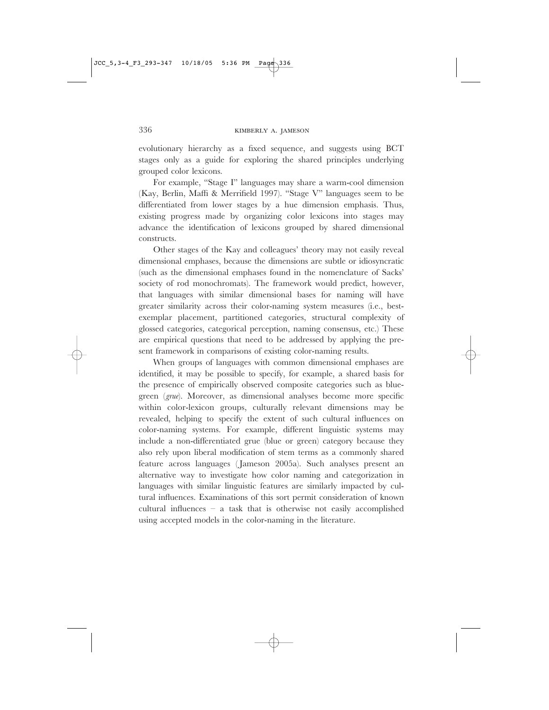evolutionary hierarchy as a fixed sequence, and suggests using BCT stages only as a guide for exploring the shared principles underlying grouped color lexicons.

For example, "Stage I" languages may share a warm-cool dimension (Kay, Berlin, Maffi & Merrifield 1997). "Stage V" languages seem to be differentiated from lower stages by a hue dimension emphasis. Thus, existing progress made by organizing color lexicons into stages may advance the identification of lexicons grouped by shared dimensional constructs.

Other stages of the Kay and colleagues' theory may not easily reveal dimensional emphases, because the dimensions are subtle or idiosyncratic (such as the dimensional emphases found in the nomenclature of Sacks' society of rod monochromats). The framework would predict, however, that languages with similar dimensional bases for naming will have greater similarity across their color-naming system measures (i.e., bestexemplar placement, partitioned categories, structural complexity of glossed categories, categorical perception, naming consensus, etc.) These are empirical questions that need to be addressed by applying the present framework in comparisons of existing color-naming results.

When groups of languages with common dimensional emphases are identified, it may be possible to specify, for example, a shared basis for the presence of empirically observed composite categories such as bluegreen (*grue*). Moreover, as dimensional analyses become more specific within color-lexicon groups, culturally relevant dimensions may be revealed, helping to specify the extent of such cultural influences on color-naming systems. For example, different linguistic systems may include a non-differentiated grue (blue or green) category because they also rely upon liberal modification of stem terms as a commonly shared feature across languages ( Jameson 2005a). Such analyses present an alternative way to investigate how color naming and categorization in languages with similar linguistic features are similarly impacted by cultural influences. Examinations of this sort permit consideration of known cultural influences – a task that is otherwise not easily accomplished using accepted models in the color-naming in the literature.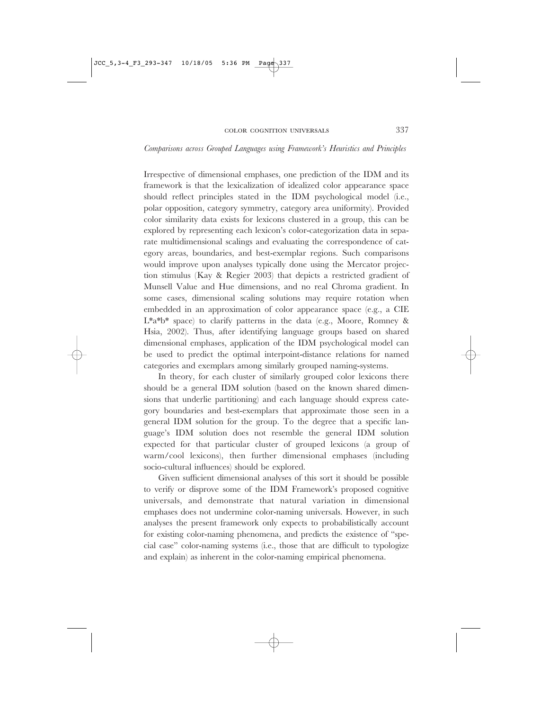#### *Comparisons across Grouped Languages using Framework's Heuristics and Principles*

Irrespective of dimensional emphases, one prediction of the IDM and its framework is that the lexicalization of idealized color appearance space should reflect principles stated in the IDM psychological model (i.e., polar opposition, category symmetry, category area uniformity). Provided color similarity data exists for lexicons clustered in a group, this can be explored by representing each lexicon's color-categorization data in separate multidimensional scalings and evaluating the correspondence of category areas, boundaries, and best-exemplar regions. Such comparisons would improve upon analyses typically done using the Mercator projection stimulus (Kay & Regier 2003) that depicts a restricted gradient of Munsell Value and Hue dimensions, and no real Chroma gradient. In some cases, dimensional scaling solutions may require rotation when embedded in an approximation of color appearance space (e.g., a CIE L\*a\*b\* space) to clarify patterns in the data (e.g., Moore, Romney & Hsia, 2002). Thus, after identifying language groups based on shared dimensional emphases, application of the IDM psychological model can be used to predict the optimal interpoint-distance relations for named categories and exemplars among similarly grouped naming-systems.

In theory, for each cluster of similarly grouped color lexicons there should be a general IDM solution (based on the known shared dimensions that underlie partitioning) and each language should express category boundaries and best-exemplars that approximate those seen in a general IDM solution for the group. To the degree that a specific language's IDM solution does not resemble the general IDM solution expected for that particular cluster of grouped lexicons (a group of warm/cool lexicons), then further dimensional emphases (including socio-cultural influences) should be explored.

Given sufficient dimensional analyses of this sort it should be possible to verify or disprove some of the IDM Framework's proposed cognitive universals, and demonstrate that natural variation in dimensional emphases does not undermine color-naming universals. However, in such analyses the present framework only expects to probabilistically account for existing color-naming phenomena, and predicts the existence of "special case" color-naming systems (i.e., those that are difficult to typologize and explain) as inherent in the color-naming empirical phenomena.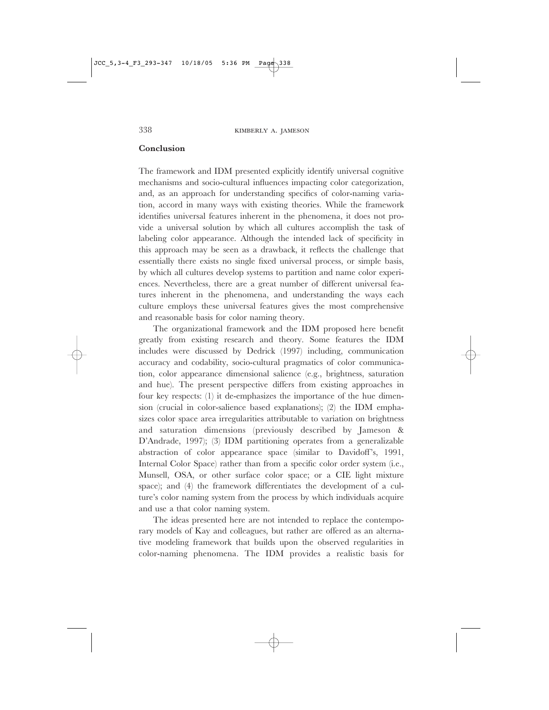#### **Conclusion**

The framework and IDM presented explicitly identify universal cognitive mechanisms and socio-cultural influences impacting color categorization, and, as an approach for understanding specifics of color-naming variation, accord in many ways with existing theories. While the framework identifies universal features inherent in the phenomena, it does not provide a universal solution by which all cultures accomplish the task of labeling color appearance. Although the intended lack of specificity in this approach may be seen as a drawback, it reflects the challenge that essentially there exists no single fixed universal process, or simple basis, by which all cultures develop systems to partition and name color experiences. Nevertheless, there are a great number of different universal features inherent in the phenomena, and understanding the ways each culture employs these universal features gives the most comprehensive and reasonable basis for color naming theory.

The organizational framework and the IDM proposed here benefit greatly from existing research and theory. Some features the IDM includes were discussed by Dedrick (1997) including, communication accuracy and codability, socio-cultural pragmatics of color communication, color appearance dimensional salience (e.g., brightness, saturation and hue). The present perspective differs from existing approaches in four key respects: (1) it de-emphasizes the importance of the hue dimension (crucial in color-salience based explanations); (2) the IDM emphasizes color space area irregularities attributable to variation on brightness and saturation dimensions (previously described by Jameson & D'Andrade, 1997); (3) IDM partitioning operates from a generalizable abstraction of color appearance space (similar to Davidoff's, 1991, Internal Color Space) rather than from a specific color order system (i.e., Munsell, OSA, or other surface color space; or a CIE light mixture space); and (4) the framework differentiates the development of a culture's color naming system from the process by which individuals acquire and use a that color naming system.

The ideas presented here are not intended to replace the contemporary models of Kay and colleagues, but rather are offered as an alternative modeling framework that builds upon the observed regularities in color-naming phenomena. The IDM provides a realistic basis for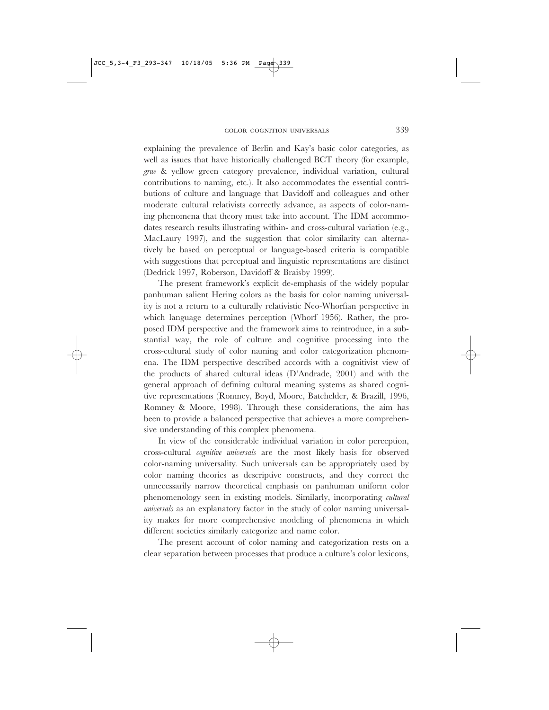explaining the prevalence of Berlin and Kay's basic color categories, as well as issues that have historically challenged BCT theory (for example, *grue* & yellow green category prevalence, individual variation, cultural contributions to naming, etc.). It also accommodates the essential contributions of culture and language that Davidoff and colleagues and other moderate cultural relativists correctly advance, as aspects of color-naming phenomena that theory must take into account. The IDM accommodates research results illustrating within- and cross-cultural variation (e.g., MacLaury 1997), and the suggestion that color similarity can alternatively be based on perceptual or language-based criteria is compatible with suggestions that perceptual and linguistic representations are distinct (Dedrick 1997, Roberson, Davidoff & Braisby 1999).

The present framework's explicit de-emphasis of the widely popular panhuman salient Hering colors as the basis for color naming universality is not a return to a culturally relativistic Neo-Whorfian perspective in which language determines perception (Whorf 1956). Rather, the proposed IDM perspective and the framework aims to reintroduce, in a substantial way, the role of culture and cognitive processing into the cross-cultural study of color naming and color categorization phenomena. The IDM perspective described accords with a cognitivist view of the products of shared cultural ideas (D'Andrade, 2001) and with the general approach of defining cultural meaning systems as shared cognitive representations (Romney, Boyd, Moore, Batchelder, & Brazill, 1996, Romney & Moore, 1998). Through these considerations, the aim has been to provide a balanced perspective that achieves a more comprehensive understanding of this complex phenomena.

In view of the considerable individual variation in color perception, cross-cultural *cognitive universals* are the most likely basis for observed color-naming universality. Such universals can be appropriately used by color naming theories as descriptive constructs, and they correct the unnecessarily narrow theoretical emphasis on panhuman uniform color phenomenology seen in existing models. Similarly, incorporating *cultural universals* as an explanatory factor in the study of color naming universality makes for more comprehensive modeling of phenomena in which different societies similarly categorize and name color.

The present account of color naming and categorization rests on a clear separation between processes that produce a culture's color lexicons,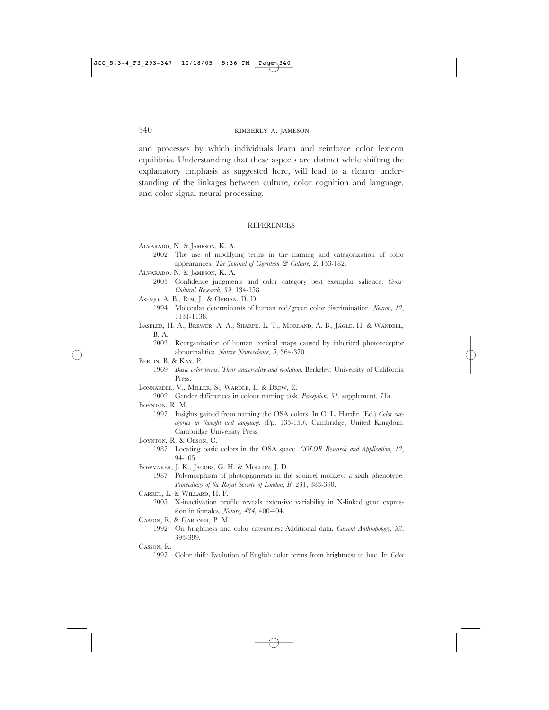and processes by which individuals learn and reinforce color lexicon equilibria. Understanding that these aspects are distinct while shifting the explanatory emphasis as suggested here, will lead to a clearer understanding of the linkages between culture, color cognition and language, and color signal neural processing.

## REFERENCES

- ALVARADO, N. & JAMESON, K. A.
	- 2002 The use of modifying terms in the naming and categorization of color appearances. *The Journal of Cognition & Culture, 2*, 153-182.
- ALVARADO, N. & JAMESON, K. A.
	- 2005 Confidence judgments and color category best exemplar salience. *Cross-Cultural Research, 39*, 134-158.
- ASENJO, A. B., RIM, J., & OPRIAN, D. D.
- 1994 Molecular determinants of human red/green color discrimination. *Neuron, 12*, 1131-1138.
- BASELER, H. A., BREWER, A. A., SHARPE, L. T., MORLAND, A. B., JÄGLE, H. & WANDELL, B. A.
	- 2002 Reorganization of human cortical maps caused by inherited photoreceptor abnormalities. *Nature Neuroscience, 5*, 364-370.

BERLIN, B. & KAY, P.

- 1969 *Basic color terms: Their universality and evolution.* Berkeley: University of California Press.
- BONNARDEL, V., MILLER, S., WARDLE, L. & DREW, E.
- 2002 Gender differences in colour naming task. *Perception, 31*, supplement, 71a. BOYNTON, R. M.
	- 1997 Insights gained from naming the OSA colors. In C. L. Hardin (Ed.) *Color categories in thought and language*. (Pp. 135-150). Cambridge, United Kingdom: Cambridge University Press.
- BOYNTON, R. & OLSON, C.
	- 1987 Locating basic colors in the OSA space*. COLOR Research and Application*, *12*, 94-105.
- BOWMAKER, J. K., JACOBS, G. H. & MOLLON, J. D.
	- 1987 Polymorphism of photopigments in the squirrel monkey: a sixth phenotype*. Proceedings of the Royal Society of London, B*, 231, 383-390.
- CARREL, L. & WILLARD, H. F.
	- 2005 X-inactivation profile reveals extensive variability in X-linked gene expression in females. *Nature, 434*, 400-404.
- CASSON, R. & GARDNER, P. M.
	- 1992 On brightness and color categories: Additional data. *Current Anthropology, 33*, 395-399.
- CASSON, R.
	- 1997 Color shift: Evolution of English color terms from brightness to hue. In *Color*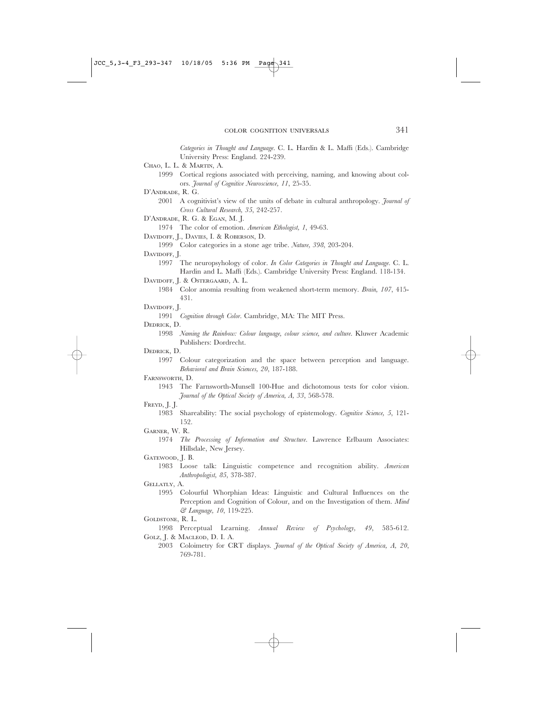*Categories in Thought and Language.* C. L. Hardin & L. Maffi (Eds.). Cambridge University Press: England. 224-239.

CHAO, L. L. & MARTIN, A.

1999 Cortical regions associated with perceiving, naming, and knowing about colors. *Journal of Cognitive Neuroscience, 11*, 25-35.

D'ANDRADE, R. G.

# 2001 A cognitivist's view of the units of debate in cultural anthropology. *Journal of Cross Cultural Research, 35*, 242-257.

D'ANDRADE, R. G. & EGAN, M. J.

1974 The color of emotion. *American Ethologist, 1*, 49-63.

DAVIDOFF, J., DAVIES, I. & ROBERSON, D.

1999 Color categories in a stone age tribe. *Nature, 398*, 203-204.

# DAVIDOFF, J.

1997 The neuropsyhology of color. *In Color Categories in Thought and Language*. C. L. Hardin and L. Maffi (Eds.). Cambridge University Press: England. 118-134.

DAVIDOFF, J. & OSTERGAARD, A. L.

1984 Color anomia resulting from weakened short-term memory. *Brain, 107*, 415- 431.

DAVIDOFF, J.

1991 *Cognition through Color*. Cambridge, MA: The MIT Press.

#### DEDRICK, D.

1998 *Naming the Rainbow: Colour language, colour science, and culture*. Kluwer Academic Publishers: Dordrecht.

DEDRICK, D.

1997 Colour categorization and the space between perception and language. *Behavioral and Brain Sciences, 20*, 187-188.

#### FARNSWORTH, D.

1943 The Farnsworth-Munsell 100-Hue and dichotomous tests for color vision. *Journal of the Optical Society of America, A, 33*, 568-578.

#### FREYD, J. J.

1983 Shareability: The social psychology of epistemology. *Cognitive Science, 5*, 121- 152.

# GARNER, W. R.

1974 *The Processing of Information and Structure.* Lawrence Erlbaum Associates: Hillsdale, New Jersey.

GATEWOOD, J. B.

GELLATLY, A.

1995 Colourful Whorphian Ideas: Linguistic and Cultural Influences on the Perception and Cognition of Colour, and on the Investigation of them. *Mind & Language, 10*, 119-225.

# GOLDSTONE, R. L.

- 1998 Perceptual Learning. *Annual Review of Psychology, 49*, 585-612. GOLZ, J. & MACLEOD, D. I. A.
	- 2003 Coloimetry for CRT displays. *Journal of the Optical Society of America, A, 20*, 769-781.

<sup>1983</sup> Loose talk: Linguistic competence and recognition ability. *American Anthropologist, 85*, 378-387.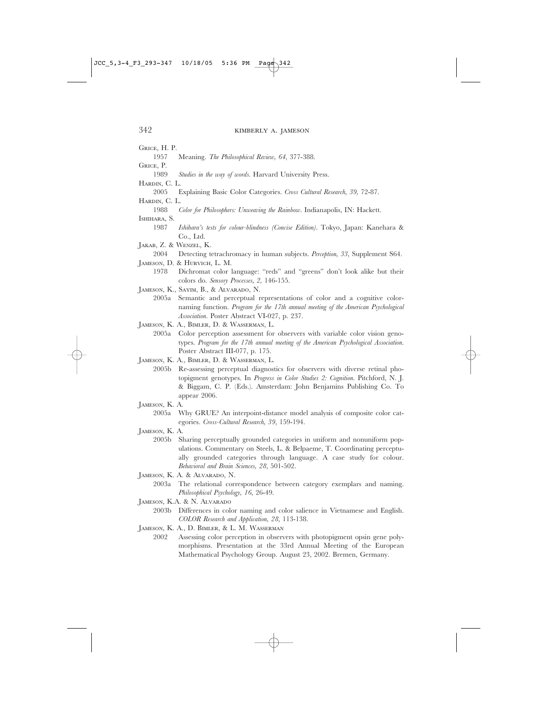GRICE, H. P.

1957 Meaning. *The Philosophical Review, 64*, 377-388.

GRICE, P.

- 1989 *Studies in the way of words.* Harvard University Press.
- HARDIN, C. L.
- 2005 Explaining Basic Color Categories. *Cross Cultural Research, 39,* 72-87.

HARDIN, C. L.

1988 *Color for Philosophers: Unweaving the Rainbow*. Indianapolis, IN: Hackett.

ISHIHARA, S.

- 1987 *Ishihara's tests for colour-blindness (Concise Edition)*. Tokyo, Japan: Kanehara & Co., Ltd.
- JAKAB, Z. & WENZEL, K.

2004 Detecting tetrachromacy in human subjects. *Perception, 33,* Supplement S64. JAMESON, D. & HURVICH, L. M.

- 1978 Dichromat color language: "reds" and "greens" don't look alike but their colors do. *Sensory Processes, 2,* 146-155.
- JAMESON, K., SAYIM, B., & ALVARADO, N.
	- 2005a Semantic and perceptual representations of color and a cognitive colornaming function. *Program for the 17th annual meeting of the American Psychological Association*. Poster Abstract VI-027, p. 237.
- JAMESON, K. A., BIMLER, D. & WASSERMAN, L.

2005a Color perception assessment for observers with variable color vision genotypes. *Program for the 17th annual meeting of the American Psychological Association*. Poster Abstract III-077, p. 175.

JAMESON, K. A., BIMLER, D. & WASSERMAN, L.

- 2005b Re-assessing perceptual diagnostics for observers with diverse retinal photopigment genotypes. In *Progress in Color Studies 2: Cognition.* Pitchford, N. J. & Biggam, C. P. (Eds.). Amsterdam: John Benjamins Publishing Co. To appear 2006.
- JAMESON, K. A.
	- 2005a Why GRUE? An interpoint-distance model analysis of composite color categories. *Cross-Cultural Research, 39*, 159-194.
- JAMESON, K. A.
	- 2005b Sharing perceptually grounded categories in uniform and nonuniform populations. Commentary on Steels, L. & Belpaeme, T. Coordinating perceptually grounded categories through language. A case study for colour. *Behavioral and Brain Sciences, 28*, 501-502.
- JAMESON, K. A. & ALVARADO, N.
	- 2003a The relational correspondence between category exemplars and naming. *Philosophical Psychology, 16*, 26-49.
- JAMESON, K.A. & N. ALVARADO
	- 2003b Differences in color naming and color salience in Vietnamese and English. *COLOR Research and Application, 28*, 113-138.

JAMESON, K. A., D. BIMLER, & L. M. WASSERMAN

2002 Assessing color perception in observers with photopigment opsin gene polymorphisms. Presentation at the 33rd Annual Meeting of the European Mathematical Psychology Group. August 23, 2002. Bremen, Germany.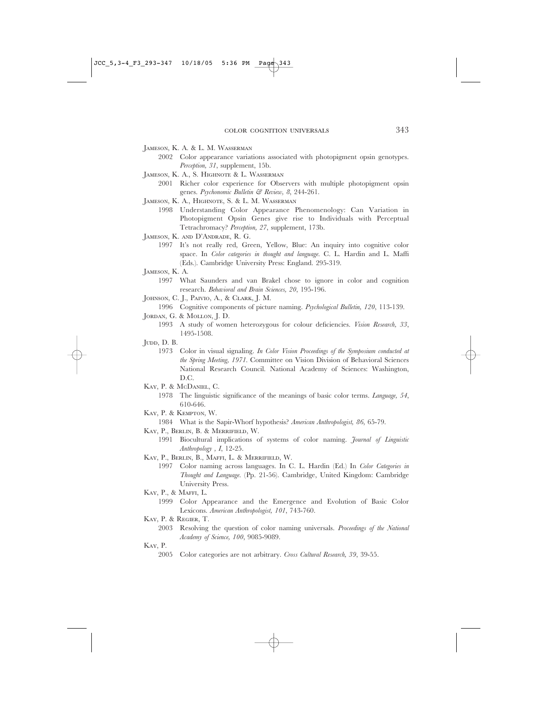JAMESON, K. A. & L. M. WASSERMAN

- 2002 Color appearance variations associated with photopigment opsin genotypes. *Perception, 31*, supplement, 15b.
- JAMESON, K. A., S. HIGHNOTE & L. WASSERMAN
- 2001 Richer color experience for Observers with multiple photopigment opsin genes. *Psychonomic Bulletin & Review, 8*, 244-261.
- JAMESON, K. A., HIGHNOTE, S. & L. M. WASSERMAN
	- 1998 Understanding Color Appearance Phenomenology: Can Variation in Photopigment Opsin Genes give rise to Individuals with Perceptual Tetrachromacy? *Perception, 27*, supplement, 173b.
- JAMESON, K. AND D'ANDRADE, R. G.
	- 1997 It's not really red, Green, Yellow, Blue: An inquiry into cognitive color space. In *Color categories in thought and language*. C. L. Hardin and L. Maffi (Eds.). Cambridge University Press: England. 295-319.
- JAMESON, K. A.
	- 1997 What Saunders and van Brakel chose to ignore in color and cognition research. *Behavioral and Brain Sciences, 20*, 195-196.
- JOHNSON, C. J., PAIVIO, A., & CLARK, J. M.
- 1996 Cognitive components of picture naming. *Psychological Bulletin, 120*, 113-139. JORDAN, G. & MOLLON, J. D.
	- 1993 A study of women heterozygous for colour deficiencies. *Vision Research, 33*, 1495-1508.
- JUDD, D. B.
	- 1973 Color in visual signaling. *In Color Vision Proceedings of the Symposium conducted at the Spring Meeting, 1971*. Committee on Vision Division of Behavioral Sciences National Research Council. National Academy of Sciences: Washington, D.C.
- KAY, P. & McDANIEL, C.
- 1978 The linguistic significance of the meanings of basic color terms. *Language, 54*, 610-646.
- KAY, P. & KEMPTON, W.
- 1984 What is the Sapir-Whorf hypothesis? *American Anthropologist, 86*, 65-79.

KAY, P., BERLIN, B. & MERRIFIELD, W.

- 1991 Biocultural implications of systems of color naming. *Journal of Linguistic Anthropology , I*, 12-25.
- KAY, P., BERLIN, B., MAFFI, L. & MERRIFIELD, W.
	- 1997 Color naming across languages. In C. L. Hardin (Ed.) In *Color Categories in Thought and Language*. (Pp. 21-56). Cambridge, United Kingdom: Cambridge University Press.
- KAY, P., & MAFFI, L.
	- 1999 Color Appearance and the Emergence and Evolution of Basic Color Lexicons. *American Anthropologist, 101*, 743-760.
- KAY, P. & REGIER, T.
	- 2003 Resolving the question of color naming universals. *Proceedings of the National Academy of Science, 100*, 9085-9089.

#### KAY, P.

2005 Color categories are not arbitrary. *Cross Cultural Research, 39*, 39-55.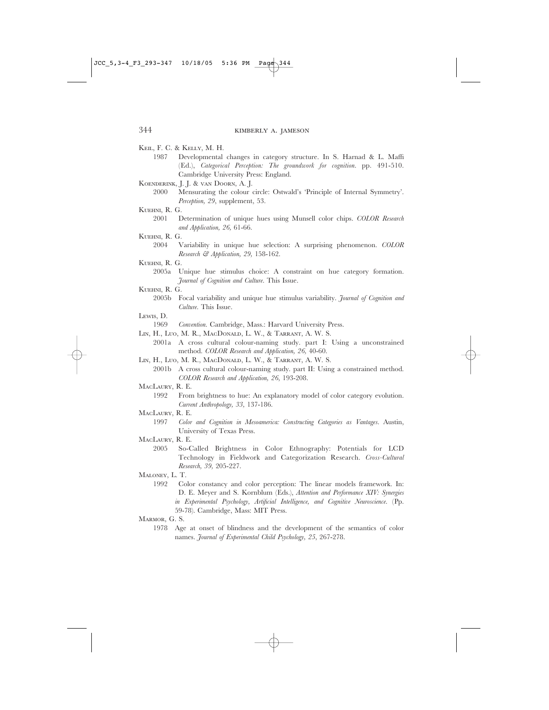# KEIL, F. C. & KELLY, M. H.

- 1987 Developmental changes in category structure. In S. Harnad & L. Maffi (Ed.), *Categorical Perception: The groundwork for cognition*. pp. 491-510. Cambridge University Press: England.
- KOENDERINK, J. J. & VAN DOORN, A. J.
	- 2000 Mensurating the colour circle: Ostwald's 'Principle of Internal Symmetry'. *Perception, 29*, supplement, 53.
- KUEHNI, R. G.
	- 2001 Determination of unique hues using Munsell color chips. *COLOR Research and Application, 26,* 61-66.
- KUEHNI, R. G.
	- 2004 Variability in unique hue selection: A surprising phenomenon. *COLOR Research & Application, 29,* 158-162.

KUEHNI, R. G.

- 2005a Unique hue stimulus choice: A constraint on hue category formation. *Journal of Cognition and Culture.* This Issue.
- KUEHNI R. G.
	- 2005b Focal variability and unique hue stimulus variability. *Journal of Cognition and Culture.* This Issue.
- LEWIS. D.
- 1969 *Convention*. Cambridge, Mass.: Harvard University Press.
- LIN, H., LUO, M. R., MACDONALD, L. W., & TARRANT, A. W. S.
	- 2001a A cross cultural colour-naming study. part I: Using a unconstrained method*. COLOR Research and Application, 26,* 40-60.
- LIN, H., LUO, M. R., MACDONALD, L. W., & TARRANT, A. W. S.
	- 2001b A cross cultural colour-naming study. part II: Using a constrained method*. COLOR Research and Application, 26*, 193-208.
- MACLAURY, R. E.
	- 1992 From brightness to hue: An explanatory model of color category evolution. *Current Anthropology, 33,* 137-186.
- MACLAURY, R. E.
	- 1997 *Color and Cognition in Mesoamerica: Constructing Categories as Vantages*. Austin, University of Texas Press.
- MACLAURY, R. E.
	- 2005 So-Called Brightness in Color Ethnography: Potentials for LCD Technology in Fieldwork and Categorization Research. *Cross-Cultural Research, 39,* 205-227.
- MALONEY, L. T.
	- 1992 Color constancy and color perception: The linear models framework. In: D. E. Meyer and S. Kornblum (Eds.), *Attention and Performance XIV: Synergies in Experimental Psychology, Artificial Intelligence, and Cognitive Neuroscience*. (Pp. 59-78). Cambridge, Mass: MIT Press.
- MARMOR, G. S.
	- 1978 Age at onset of blindness and the development of the semantics of color names. *Journal of Experimental Child Psychology, 25*, 267-278.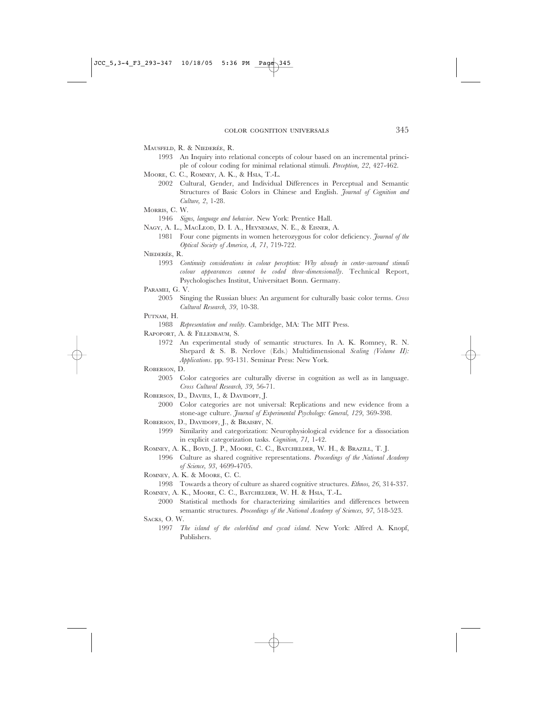MAUSFELD, R. & NIEDERÉE, R.

- 1993 An Inquiry into relational concepts of colour based on an incremental principle of colour coding for minimal relational stimuli. *Perception, 22*, 427-462.
- MOORE, C. C., ROMNEY, A. K., & HSIA, T.-L.
	- 2002 Cultural, Gender, and Individual Differences in Perceptual and Semantic Structures of Basic Colors in Chinese and English. *Journal of Cognition and Culture, 2*, 1-28.
- MORRIS, C. W.
- 1946 *Signs, language and behavior*. New York: Prentice Hall.
- NAGY, A. L., MACLEOD, D. I. A., HEYNEMAN, N. E., & EISNER, A.
	- 1981 Four cone pigments in women heterozygous for color deficiency. *Journal of the Optical Society of America, A, 71*, 719-722.
- NIEDERÉE, R.
	- 1993 *Continuity considerations in colour perception: Why already in center-surround stimuli colour appearances cannot be coded three-dimensionally.* Technical Report, Psychologisches Institut, Universitaet Bonn. Germany.
- PARAMEI, G. V.
	- 2005 Singing the Russian blues: An argument for culturally basic color terms. *Cross Cultural Research, 39*, 10-38.
- PUTNAM. H.

1988 *Representation and reality.* Cambridge, MA: The MIT Press.

- RAPOPORT, A. & FILLENBAUM, S.
	- 1972 An experimental study of semantic structures. In A. K. Romney, R. N. Shepard & S. B. Nerlove (Eds.) Multidimensional *Scaling (Volume II): Applications.* pp. 93-131. Seminar Press: New York.
- ROBERSON, D.
	- 2005 Color categories are culturally diverse in cognition as well as in language. *Cross Cultural Research, 39*, 56-71.
- ROBERSON, D., DAVIES, I., & DAVIDOFF, J.
	- 2000 Color categories are not universal: Replications and new evidence from a stone-age culture*. Journal of Experimental Psychology: General, 129*, 369-398.
- ROBERSON, D., DAVIDOFF, J., & BRAISBY, N.
	- 1999 Similarity and categorization: Neurophysiological evidence for a dissociation in explicit categorization tasks. *Cognition, 71,* 1-42.
- ROMNEY, A. K., BOYD, J. P., MOORE, C. C., BATCHELDER, W. H., & BRAZILL, T. J.
	- 1996 Culture as shared cognitive representations. *Proceedings of the National Academy of Science, 93*, 4699-4705.
- ROMNEY, A. K. & MOORE, C. C.
- 1998 Towards a theory of culture as shared cognitive structures. *Ethnos, 26*, 314-337. ROMNEY, A. K., MOORE, C. C., BATCHELDER, W. H. & HSIA, T.-L.
- 2000 Statistical methods for characterizing similarities and differences between semantic structures. *Proceedings of the National Academy of Sciences, 97*, 518-523. SACKS, O. W.
	- 1997 *The island of the colorblind and cycad island*. New York: Alfred A. Knopf, Publishers.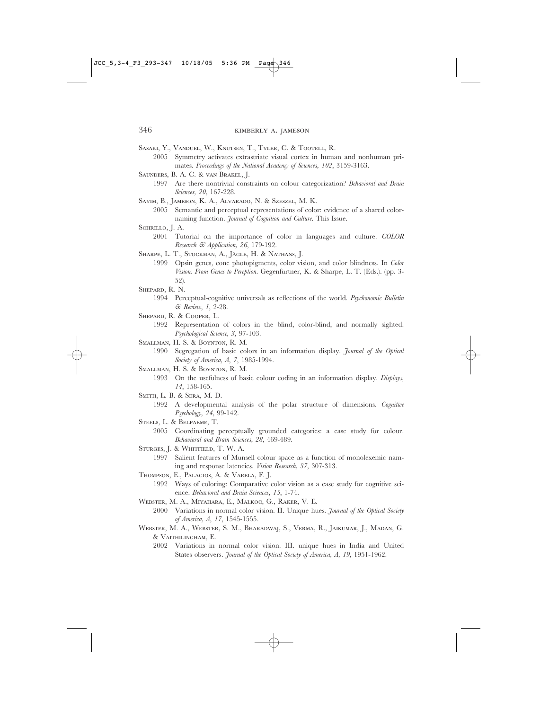SASAKI, Y., VANDUEL, W., KNUTSEN, T., TYLER, C. & TOOTELL, R.

- 2005 Symmetry activates extrastriate visual cortex in human and nonhuman primates*. Proceedings of the National Academy of Sciences, 102*, 3159-3163.
- SAUNDERS, B. A. C. & VAN BRAKEL, J.
	- 1997 Are there nontrivial constraints on colour categorization? *Behavioral and Brain Sciences, 20*, 167-228.
- SAYIM, B., JAMESON, K. A., ALVARADO, N. & SZESZEL, M. K.
	- 2005 Semantic and perceptual representations of color: evidence of a shared colornaming function. *Journal of Cognition and Culture.* This Issue.
- SCHRILLO, J. A.
	- 2001 Tutorial on the importance of color in languages and culture. *COLOR Research & Application, 26*, 179-192.
- SHARPE, L. T., STOCKMAN, A., JÄGLE, H. & NATHANS, J.
	- 1999 Opsin genes, cone photopigments, color vision, and color blindness. In *Color Vision: From Genes to Pereption*. Gegenfurtner, K. & Sharpe, L. T. (Eds.). (pp. 3- 52).
- SHEPARD, R. N.
	- 1994 Perceptual-cognitive universals as reflections of the world. *Psychonomic Bulletin & Review, 1*, 2-28.
- SHEPARD, R. & COOPER, L.

1992 Representation of colors in the blind, color-blind, and normally sighted. *Psychological Science, 3,* 97-103.

SMALLMAN, H. S. & BOYNTON, R. M.

1990 Segregation of basic colors in an information display. *Journal of the Optical Society of America, A, 7*, 1985-1994.

SMALLMAN, H. S. & BOYNTON, R. M.

1993 On the usefulness of basic colour coding in an information display. *Displays, 14*, 158-165.

- SMITH, L. B. & SERA, M. D.
	- 1992 A developmental analysis of the polar structure of dimensions. *Cognitive Psychology, 24*, 99-142.
- STEELS, L. & BELPAEME, T.
	- 2005 Coordinating perceptually grounded categories: a case study for colour. *Behavioral and Brain Sciences, 28*, 469-489.
- STURGES, J. & WHITFIELD, T. W. A.
	- 1997 Salient features of Munsell colour space as a function of monolexemic naming and response latencies. *Vision Research, 37*, 307-313.
- THOMPSON, E., PALACIOS, A. & VARELA, F. J. 1992 Ways of coloring: Comparative color vision as a case study for cognitive science. *Behavioral and Brain Sciences, 15*, 1-74.
- WEBSTER, M. A., MIYAHARA, E., MALKOC, G., RAKER, V. E.
- 2000 Variations in normal color vision. II. Unique hues. *Journal of the Optical Society of America, A, 17*, 1545-1555.
- WEBSTER, M. A., WEBSTER, S. M., BHARADWAJ, S., VERMA, R., JAIKUMAR, J., MADAN, G. & VAITHILINGHAM, E.
	- 2002 Variations in normal color vision. III. unique hues in India and United States observers. *Journal of the Optical Society of America, A, 19,* 1951-1962.